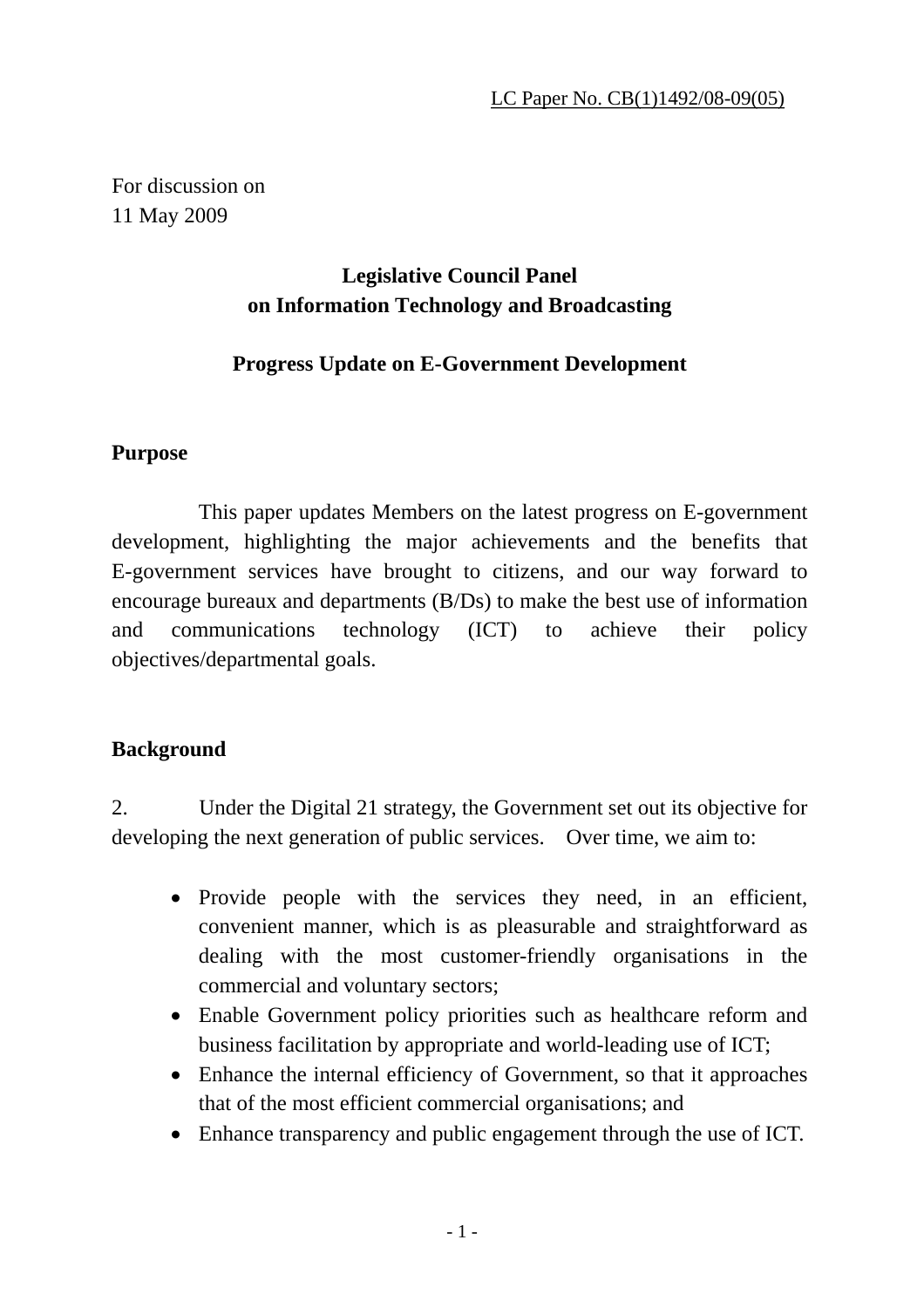For discussion on 11 May 2009

# **Legislative Council Panel on Information Technology and Broadcasting**

# **Progress Update on E-Government Development**

# **Purpose**

 This paper updates Members on the latest progress on E-government development, highlighting the major achievements and the benefits that E-government services have brought to citizens, and our way forward to encourage bureaux and departments (B/Ds) to make the best use of information and communications technology (ICT) to achieve their policy objectives/departmental goals.

# **Background**

2. Under the Digital 21 strategy, the Government set out its objective for developing the next generation of public services. Over time, we aim to:

- Provide people with the services they need, in an efficient, convenient manner, which is as pleasurable and straightforward as dealing with the most customer-friendly organisations in the commercial and voluntary sectors;
- Enable Government policy priorities such as healthcare reform and business facilitation by appropriate and world-leading use of ICT;
- Enhance the internal efficiency of Government, so that it approaches that of the most efficient commercial organisations; and
- Enhance transparency and public engagement through the use of ICT.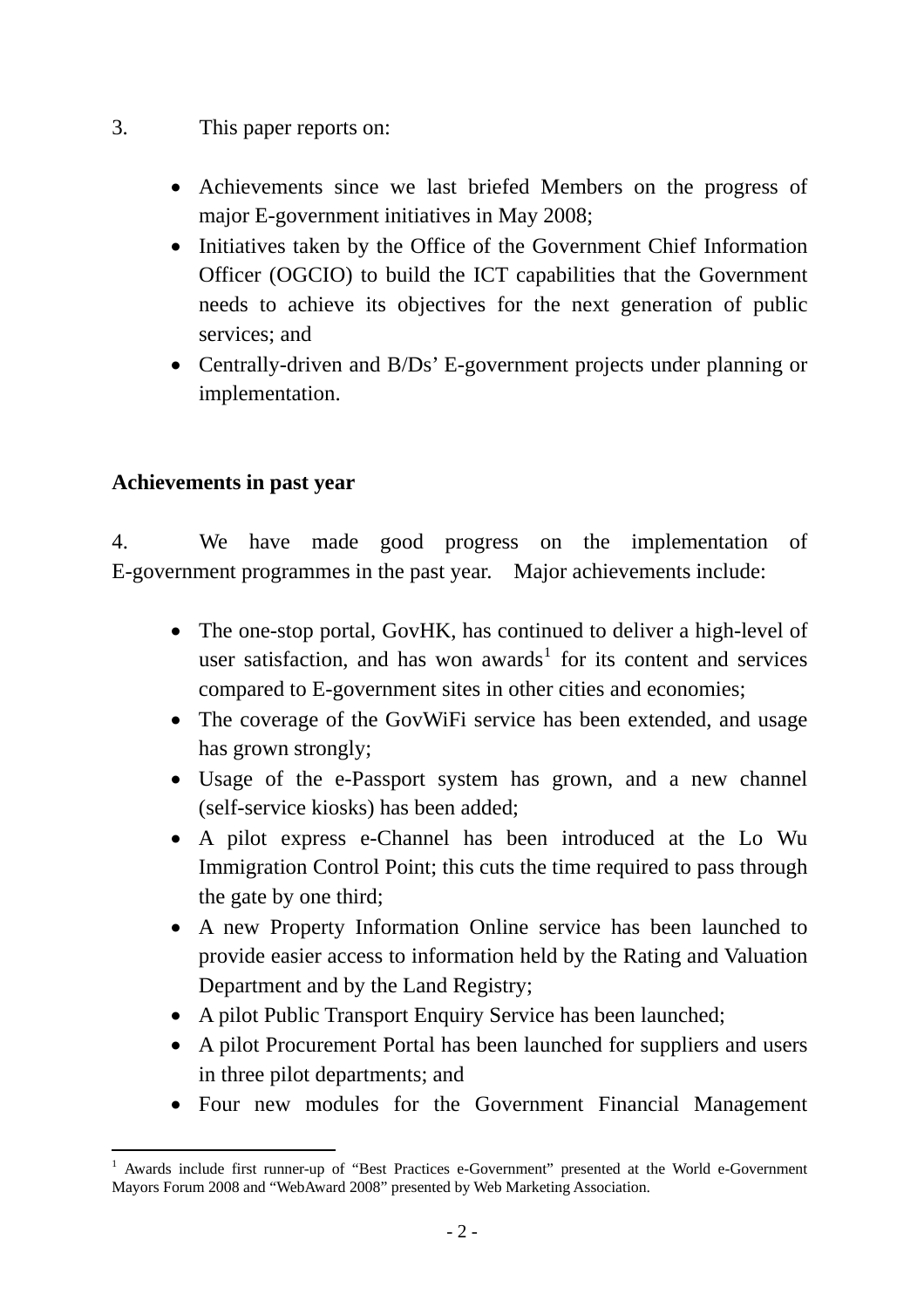- <span id="page-1-0"></span>3. This paper reports on:
	- Achievements since we last briefed Members on the progress of major E-government initiatives in May 2008;
	- Initiatives taken by the Office of the Government Chief Information Officer (OGCIO) to build the ICT capabilities that the Government needs to achieve its objectives for the next generation of public services; and
	- Centrally-driven and B/Ds' E-government projects under planning or implementation.

#### **Achievements in past year**

4. We have made good progress on the implementation of E-government programmes in the past year. Major achievements include:

- The one-stop portal, GovHK, has continued to deliver a high-level of user satisfaction, and has won awards<sup>[1](#page-1-0)</sup> for its content and services compared to E-government sites in other cities and economies;
- The coverage of the GovWiFi service has been extended, and usage has grown strongly;
- Usage of the e-Passport system has grown, and a new channel (self-service kiosks) has been added;
- A pilot express e-Channel has been introduced at the Lo Wu Immigration Control Point; this cuts the time required to pass through the gate by one third;
- A new Property Information Online service has been launched to provide easier access to information held by the Rating and Valuation Department and by the Land Registry;
- A pilot Public Transport Enquiry Service has been launched;
- A pilot Procurement Portal has been launched for suppliers and users in three pilot departments; and
- Four new modules for the Government Financial Management

l 1 Awards include first runner-up of "Best Practices e-Government" presented at the World e-Government Mayors Forum 2008 and "WebAward 2008" presented by Web Marketing Association.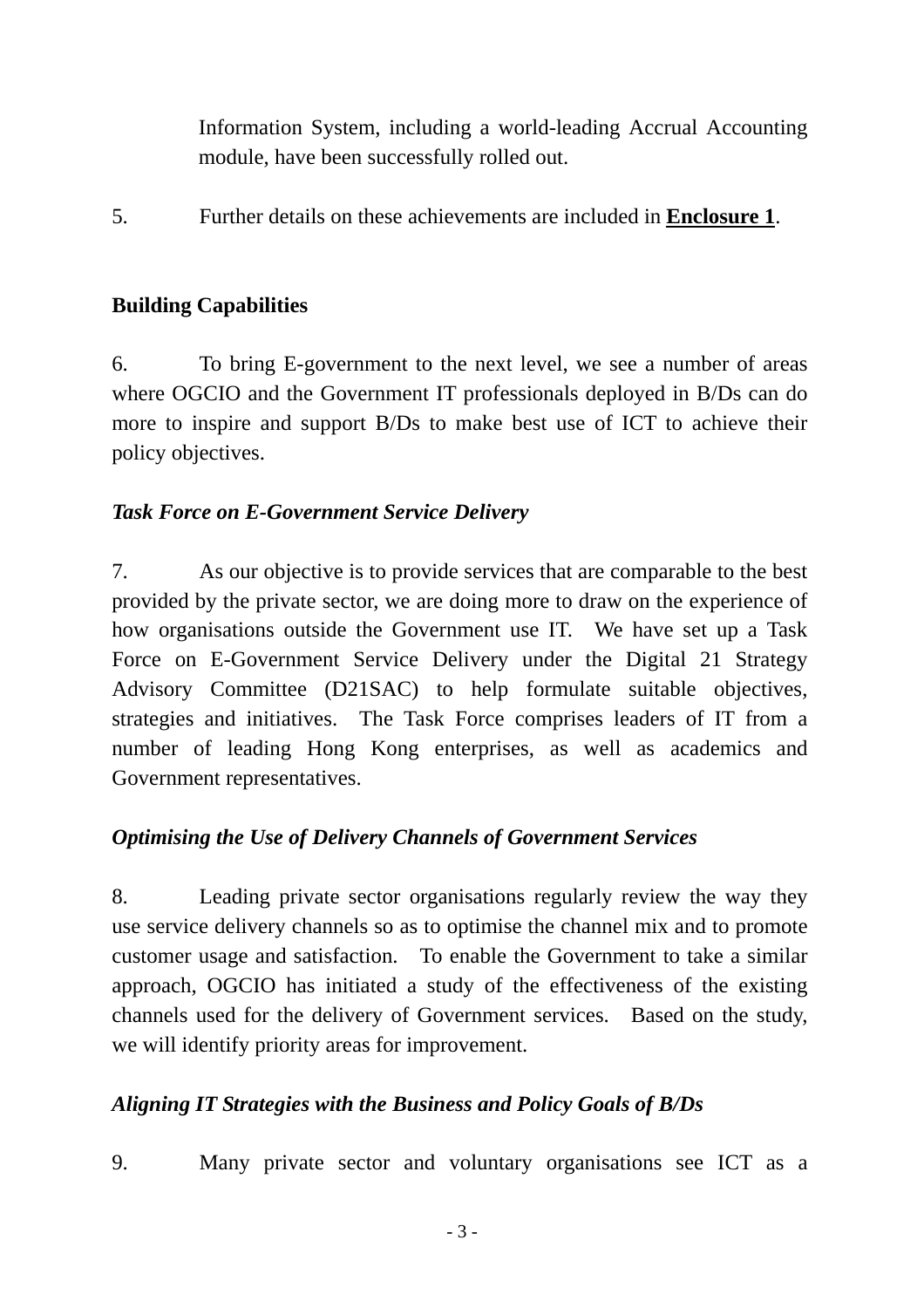Information System, including a world-leading Accrual Accounting module, have been successfully rolled out.

5. Further details on these achievements are included in **Enclosure 1**.

#### **Building Capabilities**

6. To bring E-government to the next level, we see a number of areas where OGCIO and the Government IT professionals deployed in B/Ds can do more to inspire and support B/Ds to make best use of ICT to achieve their policy objectives.

#### *Task Force on E-Government Service Delivery*

7. As our objective is to provide services that are comparable to the best provided by the private sector, we are doing more to draw on the experience of how organisations outside the Government use IT. We have set up a Task Force on E-Government Service Delivery under the Digital 21 Strategy Advisory Committee (D21SAC) to help formulate suitable objectives, strategies and initiatives. The Task Force comprises leaders of IT from a number of leading Hong Kong enterprises, as well as academics and Government representatives.

# *Optimising the Use of Delivery Channels of Government Services*

8. Leading private sector organisations regularly review the way they use service delivery channels so as to optimise the channel mix and to promote customer usage and satisfaction. To enable the Government to take a similar approach, OGCIO has initiated a study of the effectiveness of the existing channels used for the delivery of Government services. Based on the study, we will identify priority areas for improvement.

#### *Aligning IT Strategies with the Business and Policy Goals of B/Ds*

9. Many private sector and voluntary organisations see ICT as a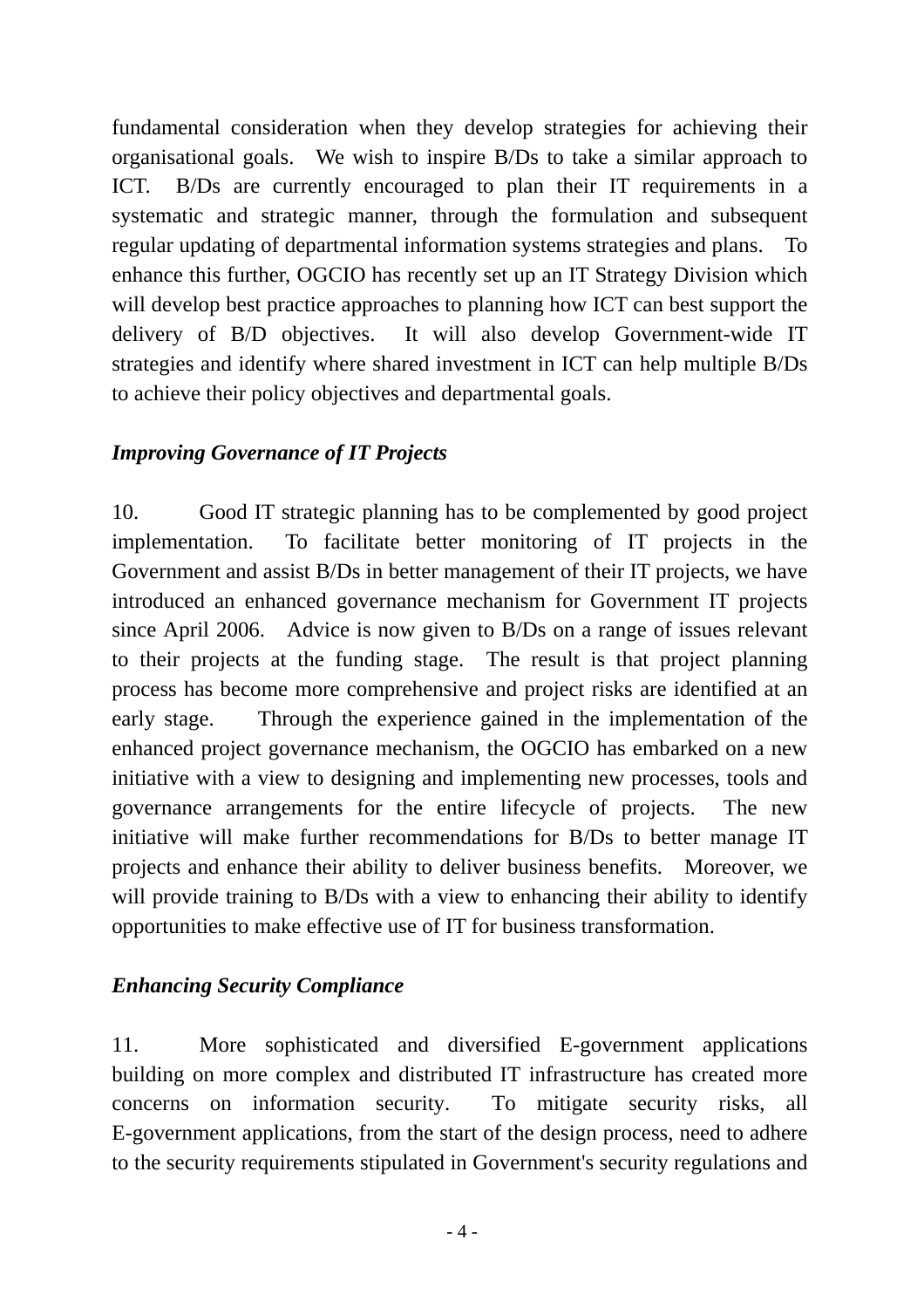fundamental consideration when they develop strategies for achieving their organisational goals. We wish to inspire B/Ds to take a similar approach to ICT. B/Ds are currently encouraged to plan their IT requirements in a systematic and strategic manner, through the formulation and subsequent regular updating of departmental information systems strategies and plans. To enhance this further, OGCIO has recently set up an IT Strategy Division which will develop best practice approaches to planning how ICT can best support the delivery of B/D objectives. It will also develop Government-wide IT strategies and identify where shared investment in ICT can help multiple B/Ds to achieve their policy objectives and departmental goals.

## *Improving Governance of IT Projects*

10. Good IT strategic planning has to be complemented by good project implementation. To facilitate better monitoring of IT projects in the Government and assist B/Ds in better management of their IT projects, we have introduced an enhanced governance mechanism for Government IT projects since April 2006. Advice is now given to B/Ds on a range of issues relevant to their projects at the funding stage. The result is that project planning process has become more comprehensive and project risks are identified at an early stage. Through the experience gained in the implementation of the enhanced project governance mechanism, the OGCIO has embarked on a new initiative with a view to designing and implementing new processes, tools and governance arrangements for the entire lifecycle of projects. The new initiative will make further recommendations for B/Ds to better manage IT projects and enhance their ability to deliver business benefits. Moreover, we will provide training to B/Ds with a view to enhancing their ability to identify opportunities to make effective use of IT for business transformation.

#### *Enhancing Security Compliance*

11. More sophisticated and diversified E-government applications building on more complex and distributed IT infrastructure has created more concerns on information security. To mitigate security risks, all E-government applications, from the start of the design process, need to adhere to the security requirements stipulated in Government's security regulations and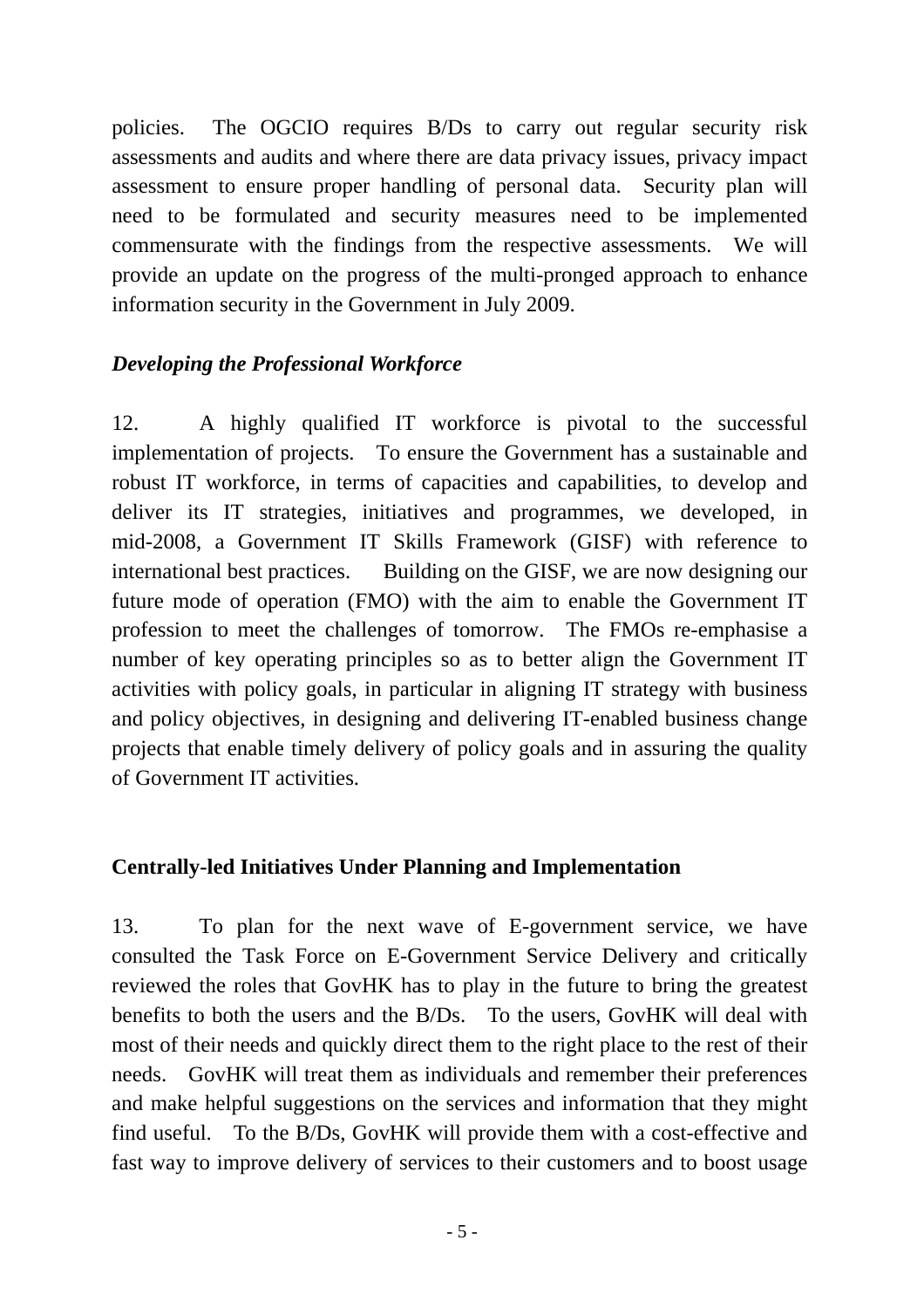policies. The OGCIO requires B/Ds to carry out regular security risk assessments and audits and where there are data privacy issues, privacy impact assessment to ensure proper handling of personal data. Security plan will need to be formulated and security measures need to be implemented commensurate with the findings from the respective assessments. We will provide an update on the progress of the multi-pronged approach to enhance information security in the Government in July 2009.

#### *Developing the Professional Workforce*

12. A highly qualified IT workforce is pivotal to the successful implementation of projects. To ensure the Government has a sustainable and robust IT workforce, in terms of capacities and capabilities, to develop and deliver its IT strategies, initiatives and programmes, we developed, in mid-2008, a Government IT Skills Framework (GISF) with reference to international best practices. Building on the GISF, we are now designing our future mode of operation (FMO) with the aim to enable the Government IT profession to meet the challenges of tomorrow. The FMOs re-emphasise a number of key operating principles so as to better align the Government IT activities with policy goals, in particular in aligning IT strategy with business and policy objectives, in designing and delivering IT-enabled business change projects that enable timely delivery of policy goals and in assuring the quality of Government IT activities.

#### **Centrally-led Initiatives Under Planning and Implementation**

13. To plan for the next wave of E-government service, we have consulted the Task Force on E-Government Service Delivery and critically reviewed the roles that GovHK has to play in the future to bring the greatest benefits to both the users and the B/Ds. To the users, GovHK will deal with most of their needs and quickly direct them to the right place to the rest of their needs. GovHK will treat them as individuals and remember their preferences and make helpful suggestions on the services and information that they might find useful. To the B/Ds, GovHK will provide them with a cost-effective and fast way to improve delivery of services to their customers and to boost usage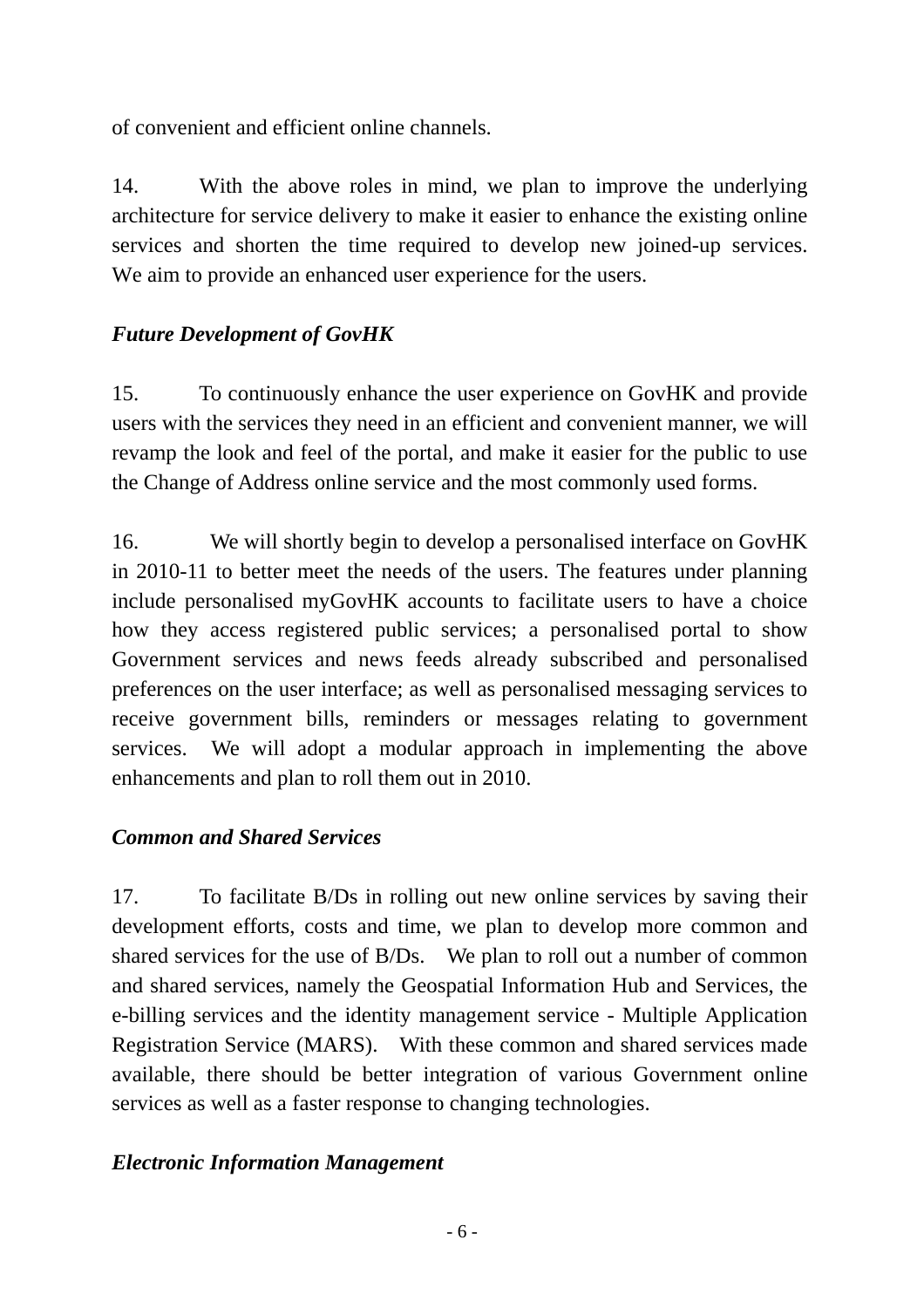of convenient and efficient online channels.

14. With the above roles in mind, we plan to improve the underlying architecture for service delivery to make it easier to enhance the existing online services and shorten the time required to develop new joined-up services. We aim to provide an enhanced user experience for the users.

## *Future Development of GovHK*

15. To continuously enhance the user experience on GovHK and provide users with the services they need in an efficient and convenient manner, we will revamp the look and feel of the portal, and make it easier for the public to use the Change of Address online service and the most commonly used forms.

16. We will shortly begin to develop a personalised interface on GovHK in 2010-11 to better meet the needs of the users. The features under planning include personalised myGovHK accounts to facilitate users to have a choice how they access registered public services; a personalised portal to show Government services and news feeds already subscribed and personalised preferences on the user interface; as well as personalised messaging services to receive government bills, reminders or messages relating to government services. We will adopt a modular approach in implementing the above enhancements and plan to roll them out in 2010.

#### *Common and Shared Services*

17. To facilitate B/Ds in rolling out new online services by saving their development efforts, costs and time, we plan to develop more common and shared services for the use of B/Ds. We plan to roll out a number of common and shared services, namely the Geospatial Information Hub and Services, the e-billing services and the identity management service - Multiple Application Registration Service (MARS). With these common and shared services made available, there should be better integration of various Government online services as well as a faster response to changing technologies.

#### *Electronic Information Management*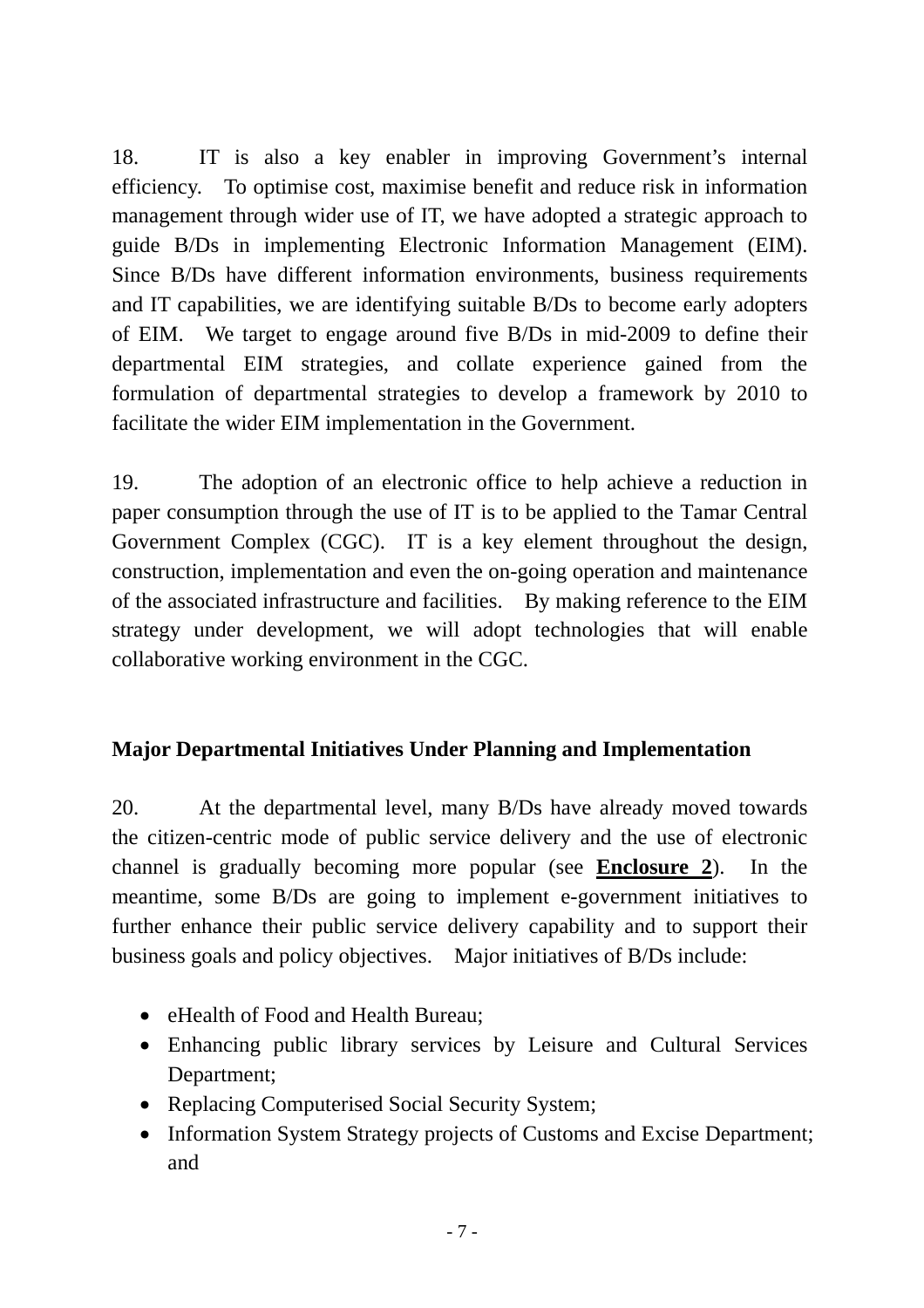18. IT is also a key enabler in improving Government's internal efficiency. To optimise cost, maximise benefit and reduce risk in information management through wider use of IT, we have adopted a strategic approach to guide B/Ds in implementing Electronic Information Management (EIM). Since B/Ds have different information environments, business requirements and IT capabilities, we are identifying suitable B/Ds to become early adopters of EIM. We target to engage around five B/Ds in mid-2009 to define their departmental EIM strategies, and collate experience gained from the formulation of departmental strategies to develop a framework by 2010 to facilitate the wider EIM implementation in the Government.

19. The adoption of an electronic office to help achieve a reduction in paper consumption through the use of IT is to be applied to the Tamar Central Government Complex (CGC). IT is a key element throughout the design, construction, implementation and even the on-going operation and maintenance of the associated infrastructure and facilities. By making reference to the EIM strategy under development, we will adopt technologies that will enable collaborative working environment in the CGC.

# **Major Departmental Initiatives Under Planning and Implementation**

20. At the departmental level, many B/Ds have already moved towards the citizen-centric mode of public service delivery and the use of electronic channel is gradually becoming more popular (see **Enclosure 2**). In the meantime, some B/Ds are going to implement e-government initiatives to further enhance their public service delivery capability and to support their business goals and policy objectives. Major initiatives of B/Ds include:

- eHealth of Food and Health Bureau:
- Enhancing public library services by Leisure and Cultural Services Department;
- Replacing Computerised Social Security System;
- Information System Strategy projects of Customs and Excise Department; and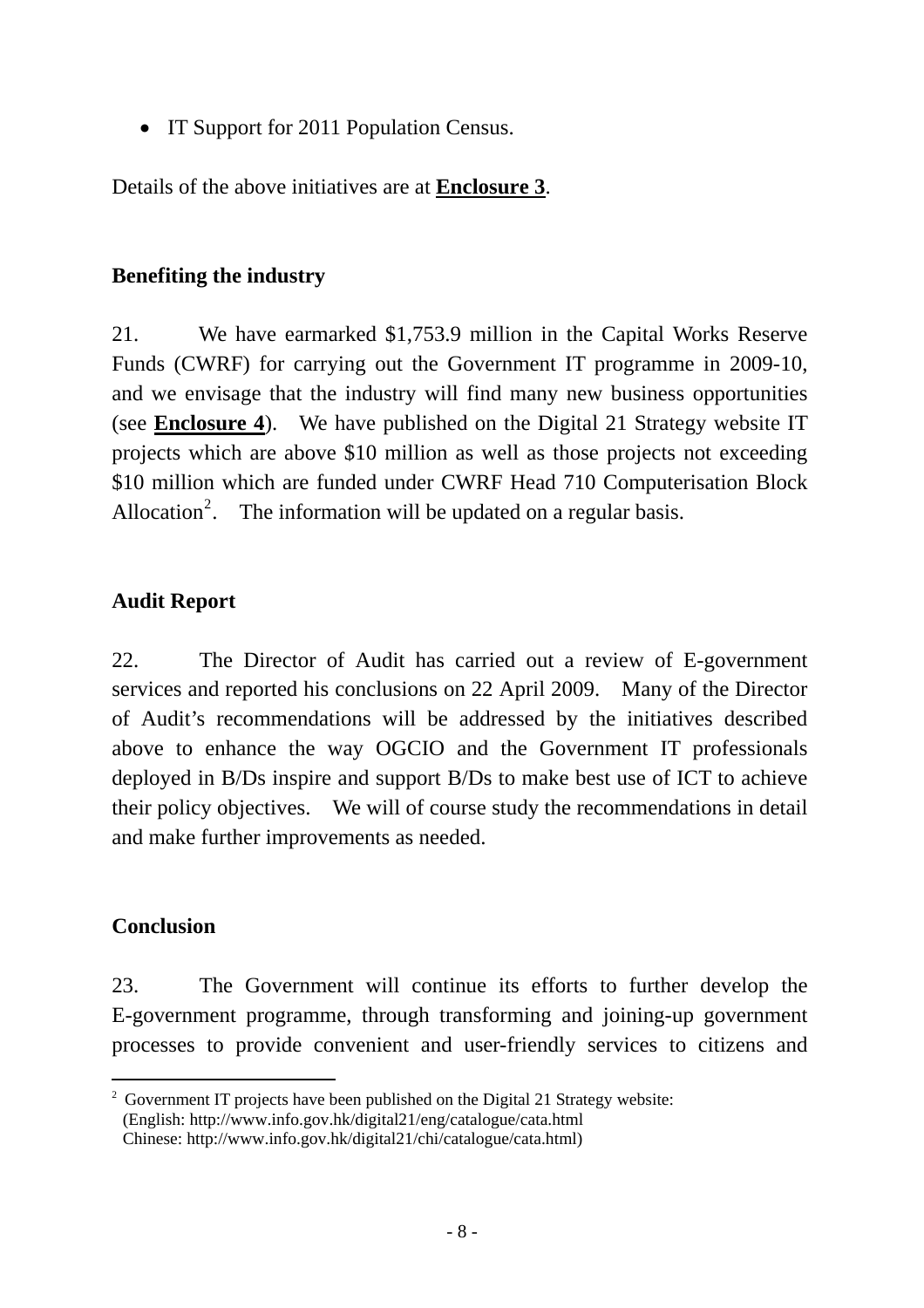• IT Support for 2011 Population Census.

Details of the above initiatives are at **Enclosure 3**.

#### **Benefiting the industry**

21. We have earmarked \$1,753.9 million in the Capital Works Reserve Funds (CWRF) for carrying out the Government IT programme in 2009-10, and we envisage that the industry will find many new business opportunities (see **Enclosure 4**). We have published on the Digital 21 Strategy website IT projects which are above \$10 million as well as those projects not exceeding \$10 million which are funded under CWRF Head 710 Computerisation Block Allocation<sup>[2](#page-7-0)</sup>. The information will be updated on a regular basis.

#### **Audit Report**

22. The Director of Audit has carried out a review of E-government services and reported his conclusions on 22 April 2009. Many of the Director of Audit's recommendations will be addressed by the initiatives described above to enhance the way OGCIO and the Government IT professionals deployed in B/Ds inspire and support B/Ds to make best use of ICT to achieve their policy objectives. We will of course study the recommendations in detail and make further improvements as needed.

#### **Conclusion**

 $\overline{a}$ 

23. The Government will continue its efforts to further develop the E-government programme, through transforming and joining-up government processes to provide convenient and user-friendly services to citizens and

<span id="page-7-0"></span><sup>&</sup>lt;sup>2</sup> Government IT projects have been published on the Digital 21 Strategy website: (English: http://www.info.gov.hk/digital21/eng/catalogue/cata.html

Chinese: http://www.info.gov.hk/digital21/chi/catalogue/cata.html)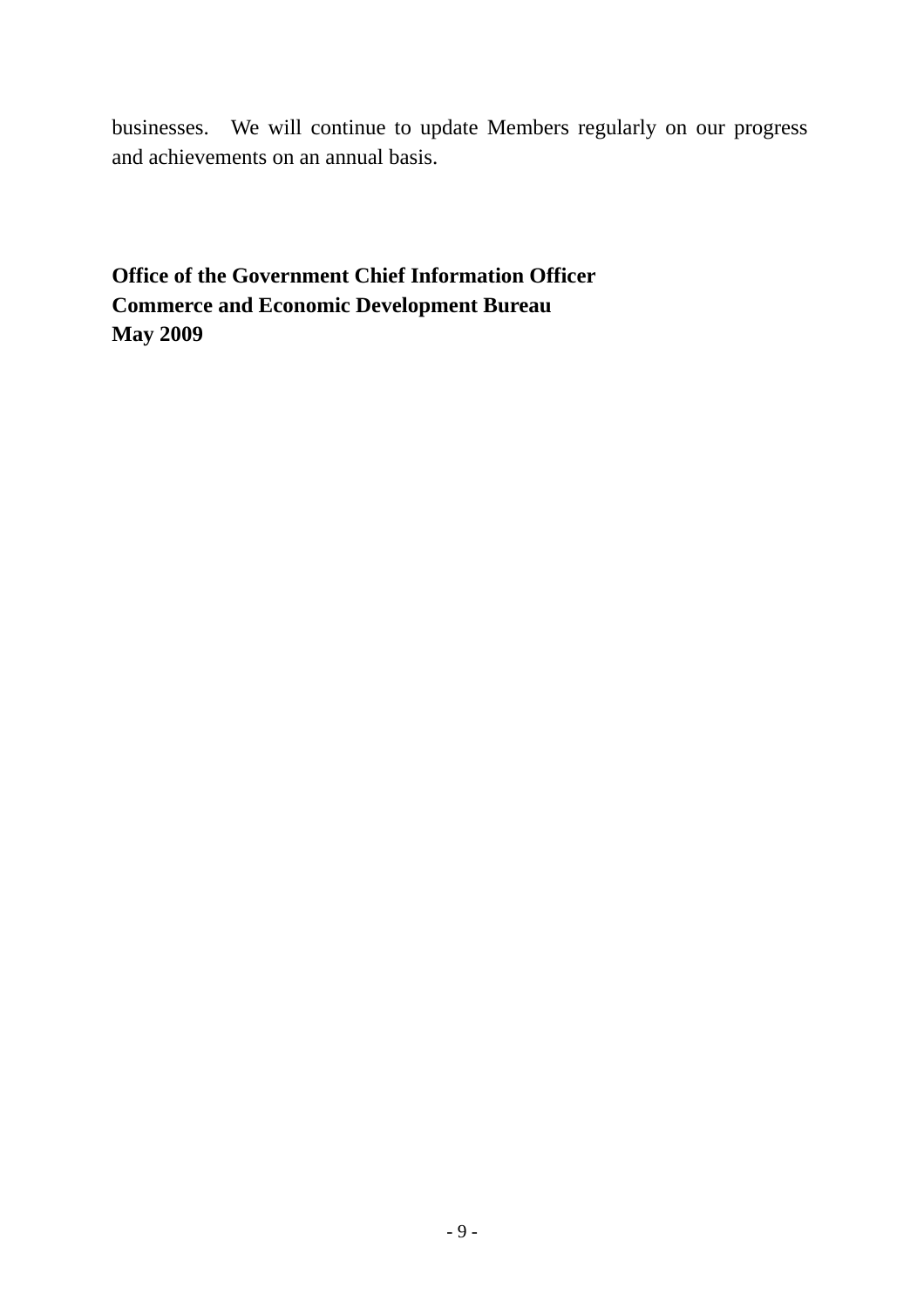businesses. We will continue to update Members regularly on our progress and achievements on an annual basis.

**Office of the Government Chief Information Officer Commerce and Economic Development Bureau May 2009**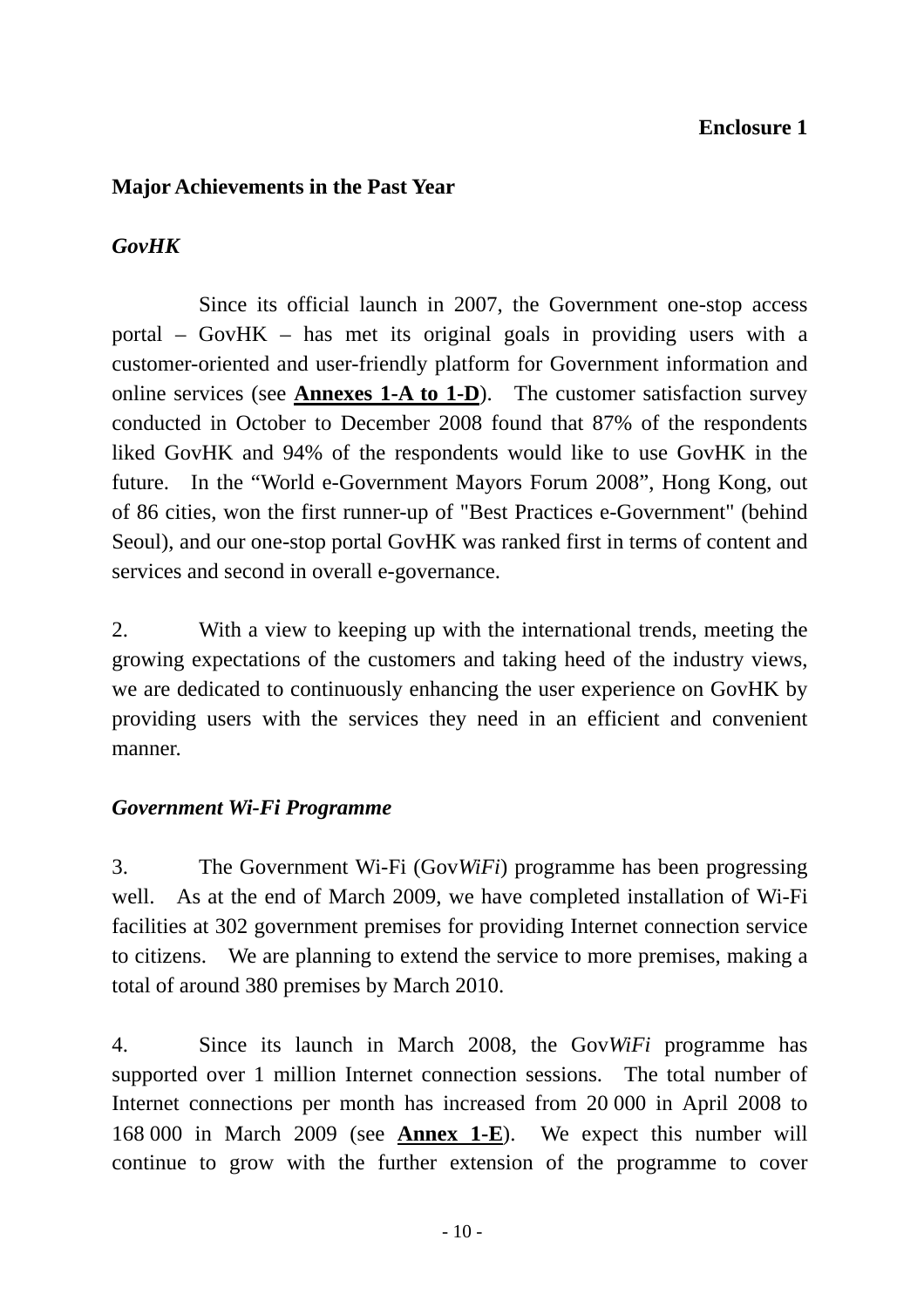#### **Enclosure 1**

#### **Major Achievements in the Past Year**

## *GovHK*

 Since its official launch in 2007, the Government one-stop access portal – GovHK – has met its original goals in providing users with a customer-oriented and user-friendly platform for Government information and online services (see **Annexes 1-A to 1-D**). The customer satisfaction survey conducted in October to December 2008 found that 87% of the respondents liked GovHK and 94% of the respondents would like to use GovHK in the future. In the "World e-Government Mayors Forum 2008", Hong Kong, out of 86 cities, won the first runner-up of "Best Practices e-Government" (behind Seoul), and our one-stop portal GovHK was ranked first in terms of content and services and second in overall e-governance.

2. With a view to keeping up with the international trends, meeting the growing expectations of the customers and taking heed of the industry views, we are dedicated to continuously enhancing the user experience on GovHK by providing users with the services they need in an efficient and convenient manner.

#### *Government Wi-Fi Programme*

3. The Government Wi-Fi (Gov*WiFi*) programme has been progressing well. As at the end of March 2009, we have completed installation of Wi-Fi facilities at 302 government premises for providing Internet connection service to citizens. We are planning to extend the service to more premises, making a total of around 380 premises by March 2010.

4. Since its launch in March 2008, the Gov*WiFi* programme has supported over 1 million Internet connection sessions. The total number of Internet connections per month has increased from 20 000 in April 2008 to 168 000 in March 2009 (see **Annex 1-E**). We expect this number will continue to grow with the further extension of the programme to cover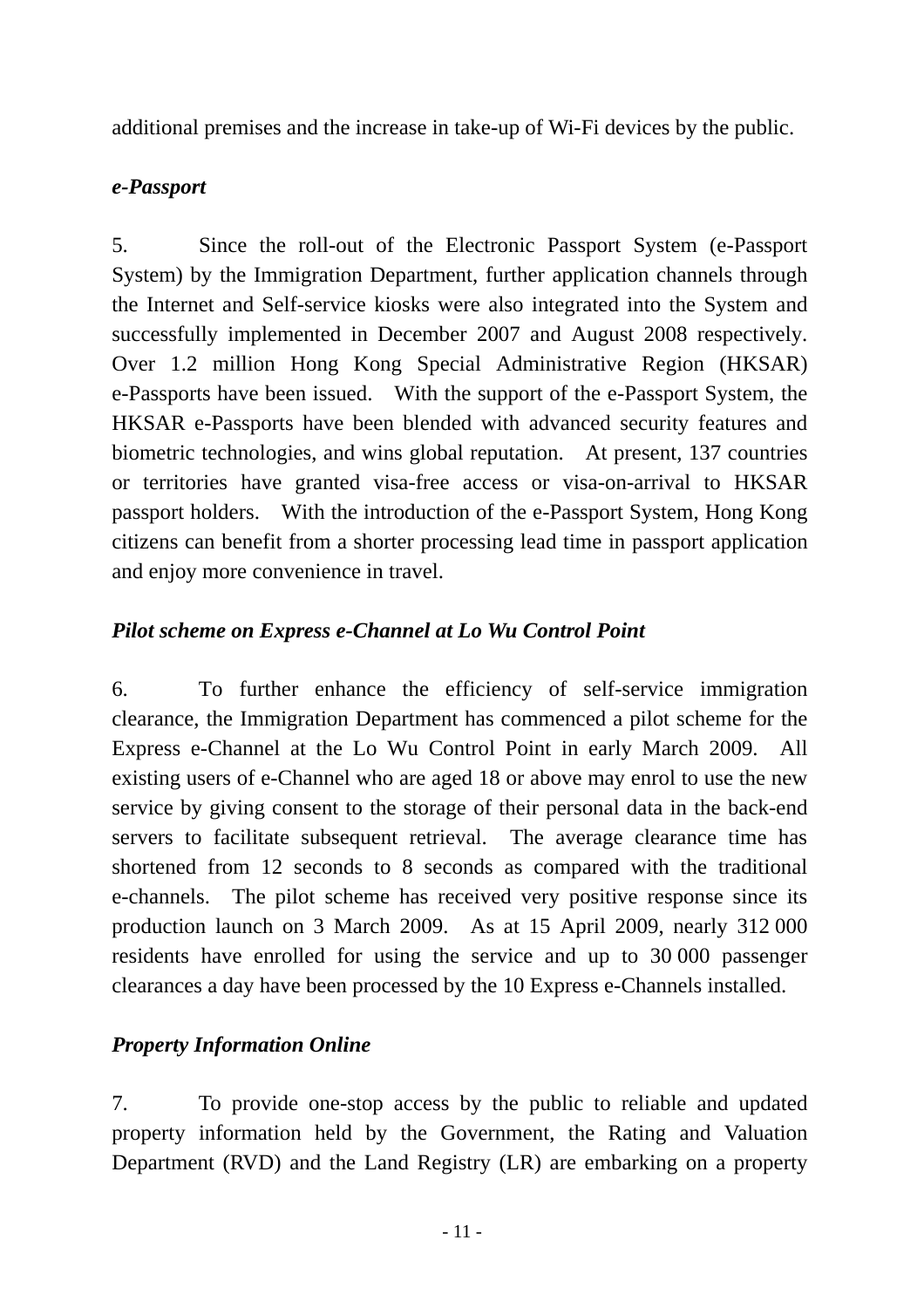additional premises and the increase in take-up of Wi-Fi devices by the public.

#### *e-Passport*

5. Since the roll-out of the Electronic Passport System (e-Passport System) by the Immigration Department, further application channels through the Internet and Self-service kiosks were also integrated into the System and successfully implemented in December 2007 and August 2008 respectively. Over 1.2 million Hong Kong Special Administrative Region (HKSAR) e-Passports have been issued. With the support of the e-Passport System, the HKSAR e-Passports have been blended with advanced security features and biometric technologies, and wins global reputation. At present, 137 countries or territories have granted visa-free access or visa-on-arrival to HKSAR passport holders. With the introduction of the e-Passport System, Hong Kong citizens can benefit from a shorter processing lead time in passport application and enjoy more convenience in travel.

## *Pilot scheme on Express e-Channel at Lo Wu Control Point*

6. To further enhance the efficiency of self-service immigration clearance, the Immigration Department has commenced a pilot scheme for the Express e-Channel at the Lo Wu Control Point in early March 2009. All existing users of e-Channel who are aged 18 or above may enrol to use the new service by giving consent to the storage of their personal data in the back-end servers to facilitate subsequent retrieval. The average clearance time has shortened from 12 seconds to 8 seconds as compared with the traditional e-channels. The pilot scheme has received very positive response since its production launch on 3 March 2009. As at 15 April 2009, nearly 312 000 residents have enrolled for using the service and up to 30 000 passenger clearances a day have been processed by the 10 Express e-Channels installed.

#### *Property Information Online*

7. To provide one-stop access by the public to reliable and updated property information held by the Government, the Rating and Valuation Department (RVD) and the Land Registry (LR) are embarking on a property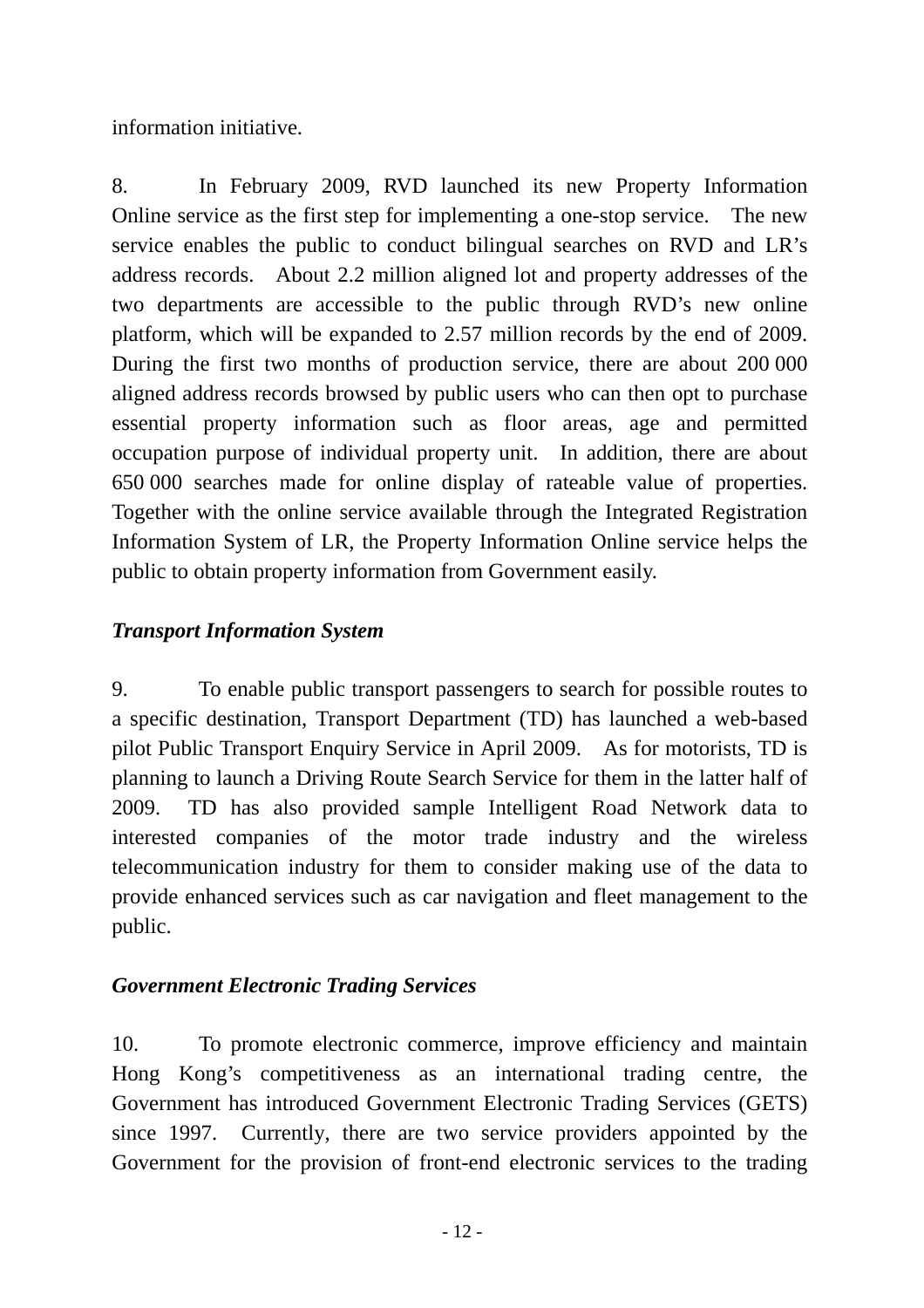information initiative.

8. In February 2009, RVD launched its new Property Information Online service as the first step for implementing a one-stop service. The new service enables the public to conduct bilingual searches on RVD and LR's address records. About 2.2 million aligned lot and property addresses of the two departments are accessible to the public through RVD's new online platform, which will be expanded to 2.57 million records by the end of 2009. During the first two months of production service, there are about 200 000 aligned address records browsed by public users who can then opt to purchase essential property information such as floor areas, age and permitted occupation purpose of individual property unit. In addition, there are about 650 000 searches made for online display of rateable value of properties. Together with the online service available through the Integrated Registration Information System of LR, the Property Information Online service helps the public to obtain property information from Government easily.

## *Transport Information System*

9. To enable public transport passengers to search for possible routes to a specific destination, Transport Department (TD) has launched a web-based pilot Public Transport Enquiry Service in April 2009. As for motorists, TD is planning to launch a Driving Route Search Service for them in the latter half of 2009. TD has also provided sample Intelligent Road Network data to interested companies of the motor trade industry and the wireless telecommunication industry for them to consider making use of the data to provide enhanced services such as car navigation and fleet management to the public.

#### *Government Electronic Trading Services*

10. To promote electronic commerce, improve efficiency and maintain Hong Kong's competitiveness as an international trading centre, the Government has introduced Government Electronic Trading Services (GETS) since 1997. Currently, there are two service providers appointed by the Government for the provision of front-end electronic services to the trading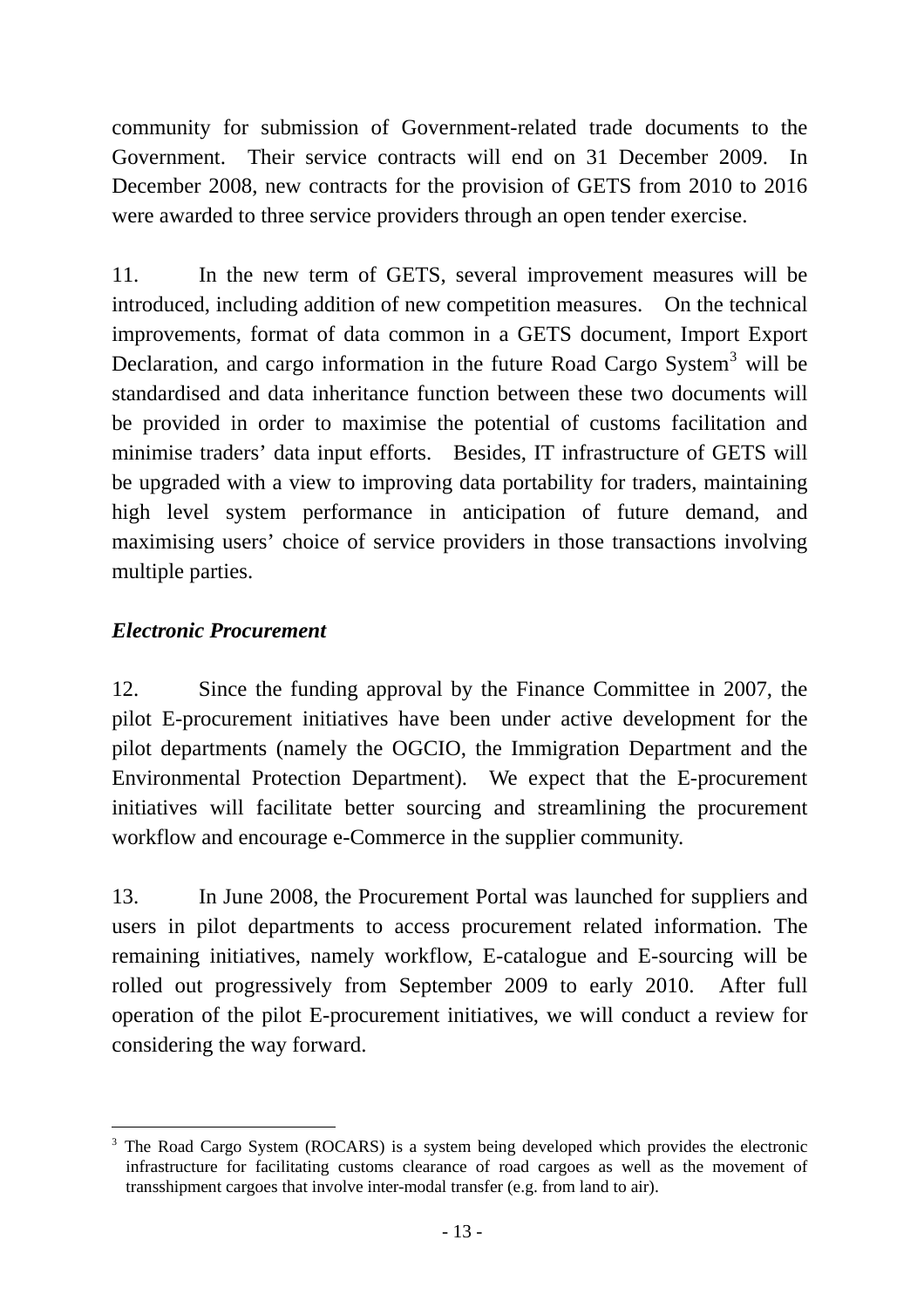community for submission of Government-related trade documents to the Government. Their service contracts will end on 31 December 2009. In December 2008, new contracts for the provision of GETS from 2010 to 2016 were awarded to three service providers through an open tender exercise.

11. In the new term of GETS, several improvement measures will be introduced, including addition of new competition measures. On the technical improvements, format of data common in a GETS document, Import Export Declaration, and cargo information in the future Road Cargo System<sup>[3](#page-12-0)</sup> will be standardised and data inheritance function between these two documents will be provided in order to maximise the potential of customs facilitation and minimise traders' data input efforts. Besides, IT infrastructure of GETS will be upgraded with a view to improving data portability for traders, maintaining high level system performance in anticipation of future demand, and maximising users' choice of service providers in those transactions involving multiple parties.

#### *Electronic Procurement*

l

12. Since the funding approval by the Finance Committee in 2007, the pilot E-procurement initiatives have been under active development for the pilot departments (namely the OGCIO, the Immigration Department and the Environmental Protection Department). We expect that the E-procurement initiatives will facilitate better sourcing and streamlining the procurement workflow and encourage e-Commerce in the supplier community.

13. In June 2008, the Procurement Portal was launched for suppliers and users in pilot departments to access procurement related information. The remaining initiatives, namely workflow, E-catalogue and E-sourcing will be rolled out progressively from September 2009 to early 2010. After full operation of the pilot E-procurement initiatives, we will conduct a review for considering the way forward.

<span id="page-12-0"></span><sup>3</sup> The Road Cargo System (ROCARS) is a system being developed which provides the electronic infrastructure for facilitating customs clearance of road cargoes as well as the movement of transshipment cargoes that involve inter-modal transfer (e.g. from land to air).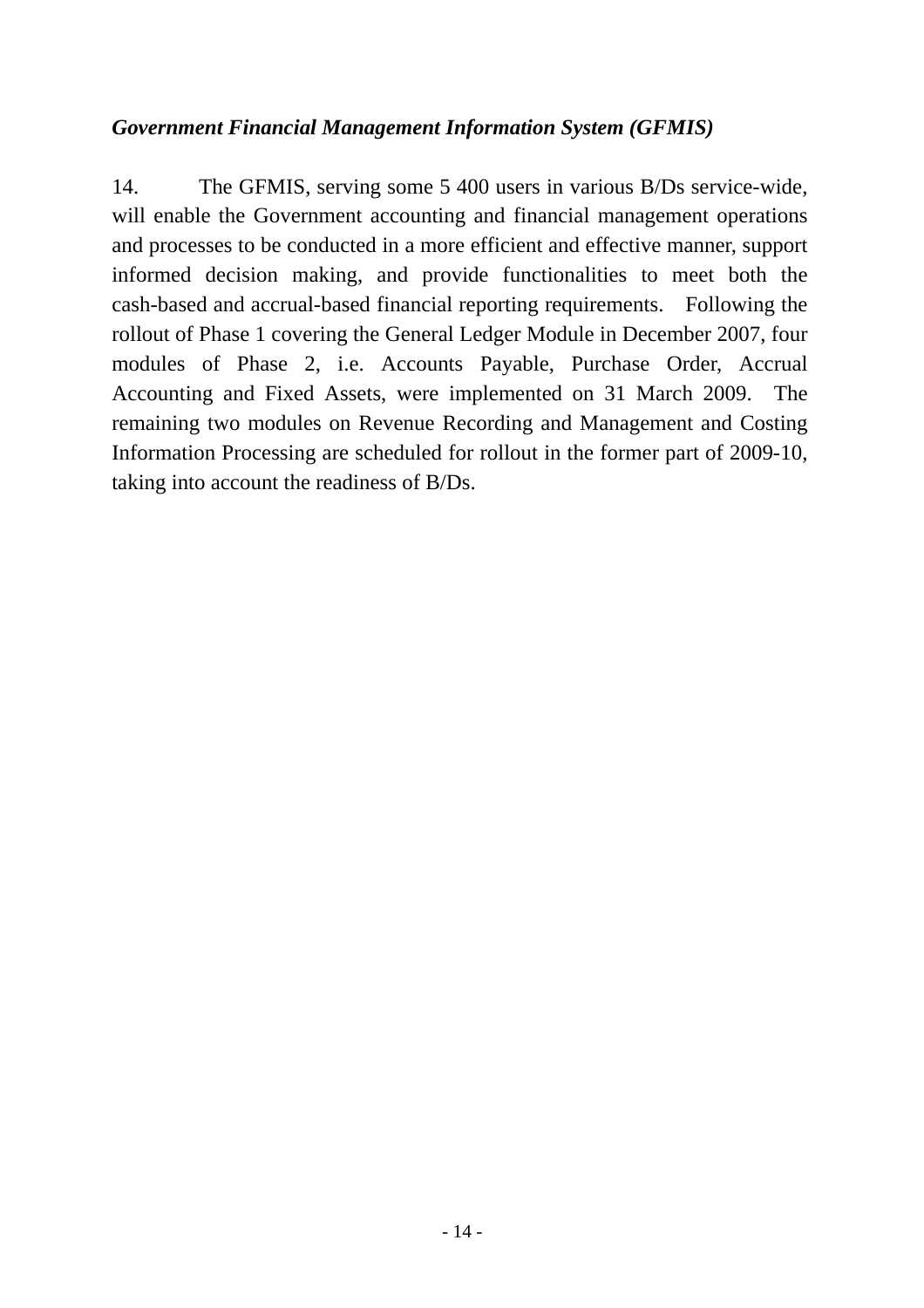#### *Government Financial Management Information System (GFMIS)*

14. The GFMIS, serving some 5 400 users in various B/Ds service-wide, will enable the Government accounting and financial management operations and processes to be conducted in a more efficient and effective manner, support informed decision making, and provide functionalities to meet both the cash-based and accrual-based financial reporting requirements. Following the rollout of Phase 1 covering the General Ledger Module in December 2007, four modules of Phase 2, i.e. Accounts Payable, Purchase Order, Accrual Accounting and Fixed Assets, were implemented on 31 March 2009. The remaining two modules on Revenue Recording and Management and Costing Information Processing are scheduled for rollout in the former part of 2009-10, taking into account the readiness of B/Ds.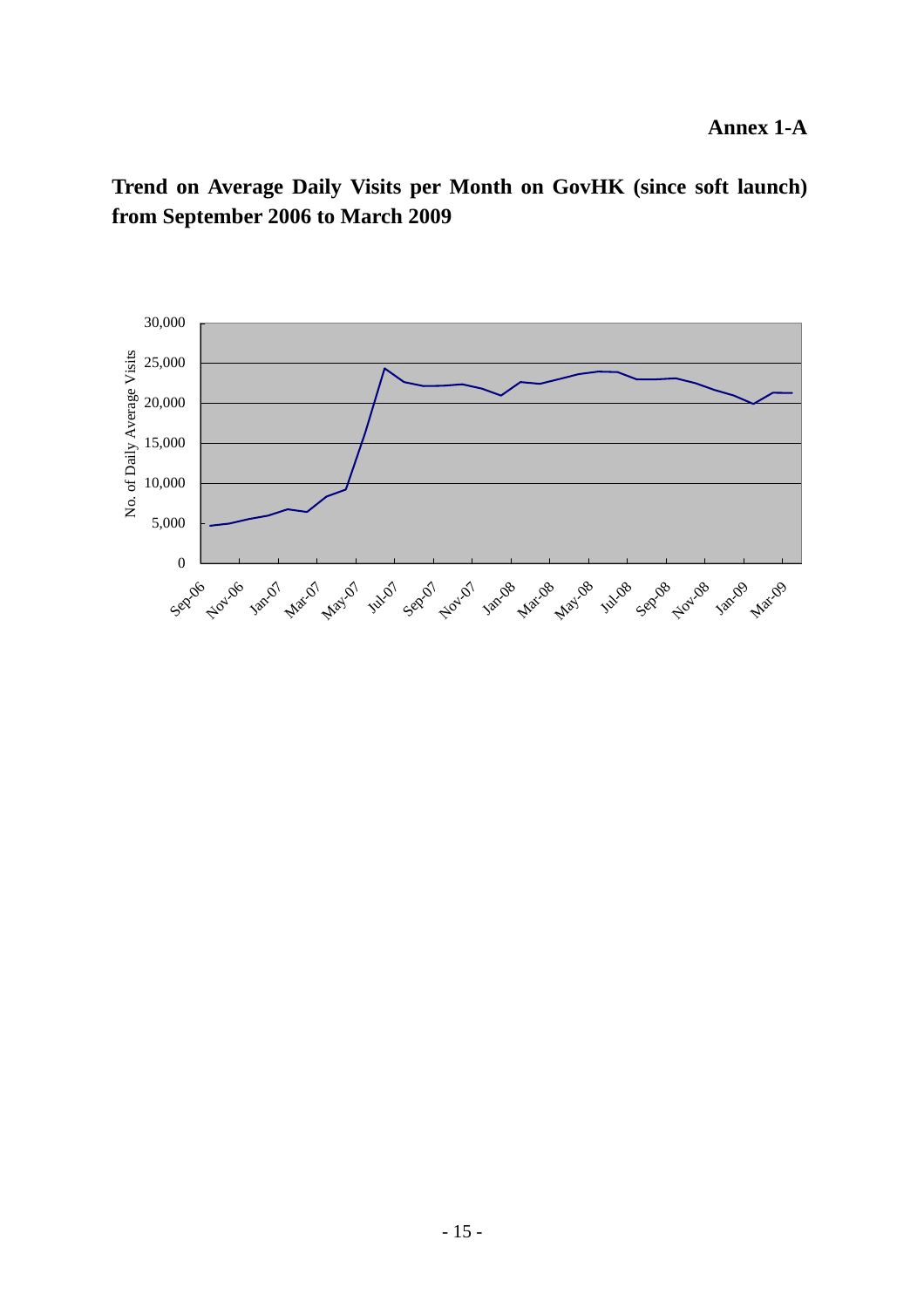**Trend on Average Daily Visits per Month on GovHK (since soft launch) from September 2006 to March 2009**

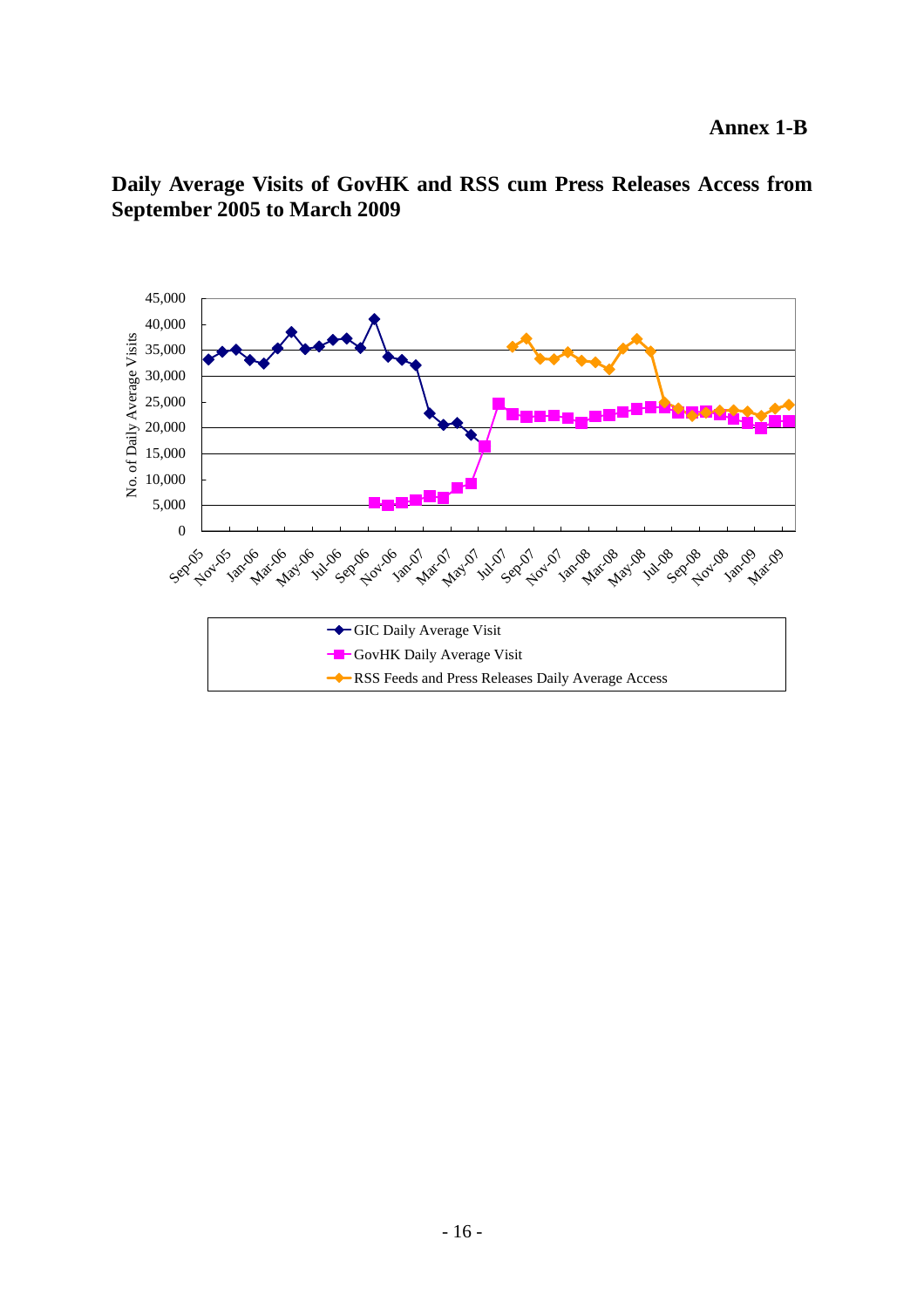

**Daily Average Visits of GovHK and RSS cum Press Releases Access from September 2005 to March 2009**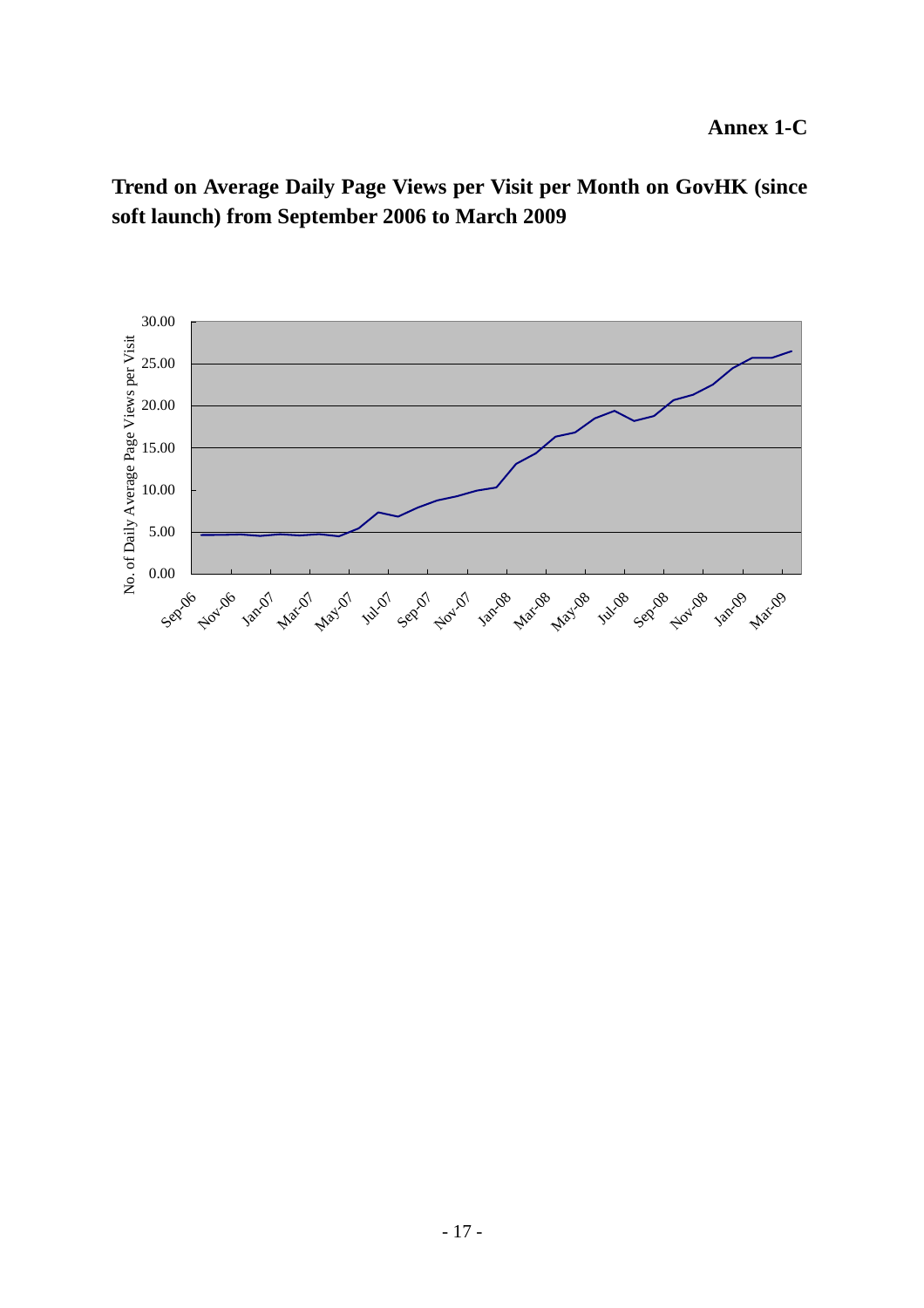**Trend on Average Daily Page Views per Visit per Month on GovHK (since soft launch) from September 2006 to March 2009**

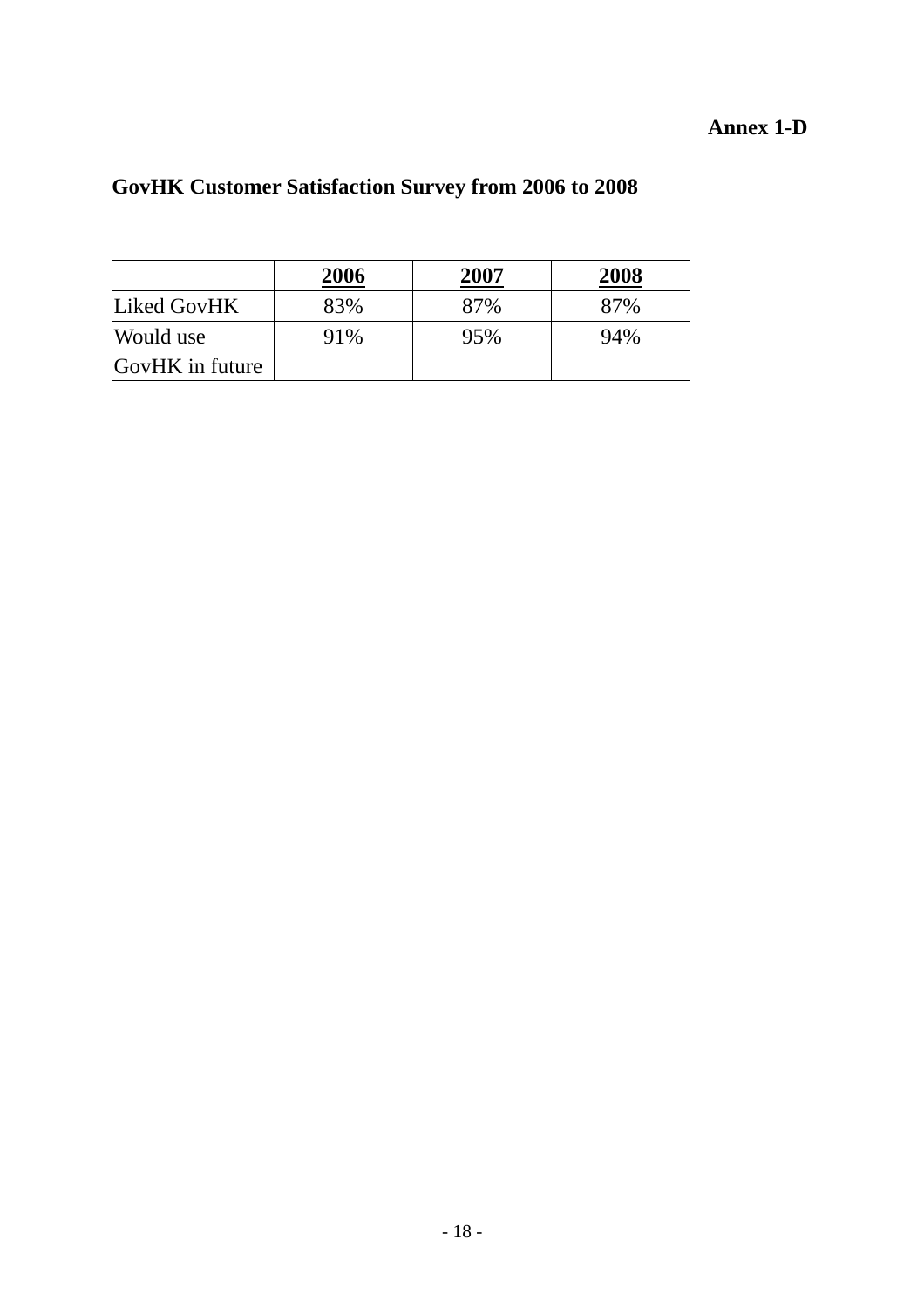## **Annex 1-D**

|                 | 2006 | 2007 | 2008 |
|-----------------|------|------|------|
| Liked GovHK     | 83%  | 87%  | 87%  |
| Would use       | 91%  | 95%  | 94%  |
| GovHK in future |      |      |      |

# **GovHK Customer Satisfaction Survey from 2006 to 2008**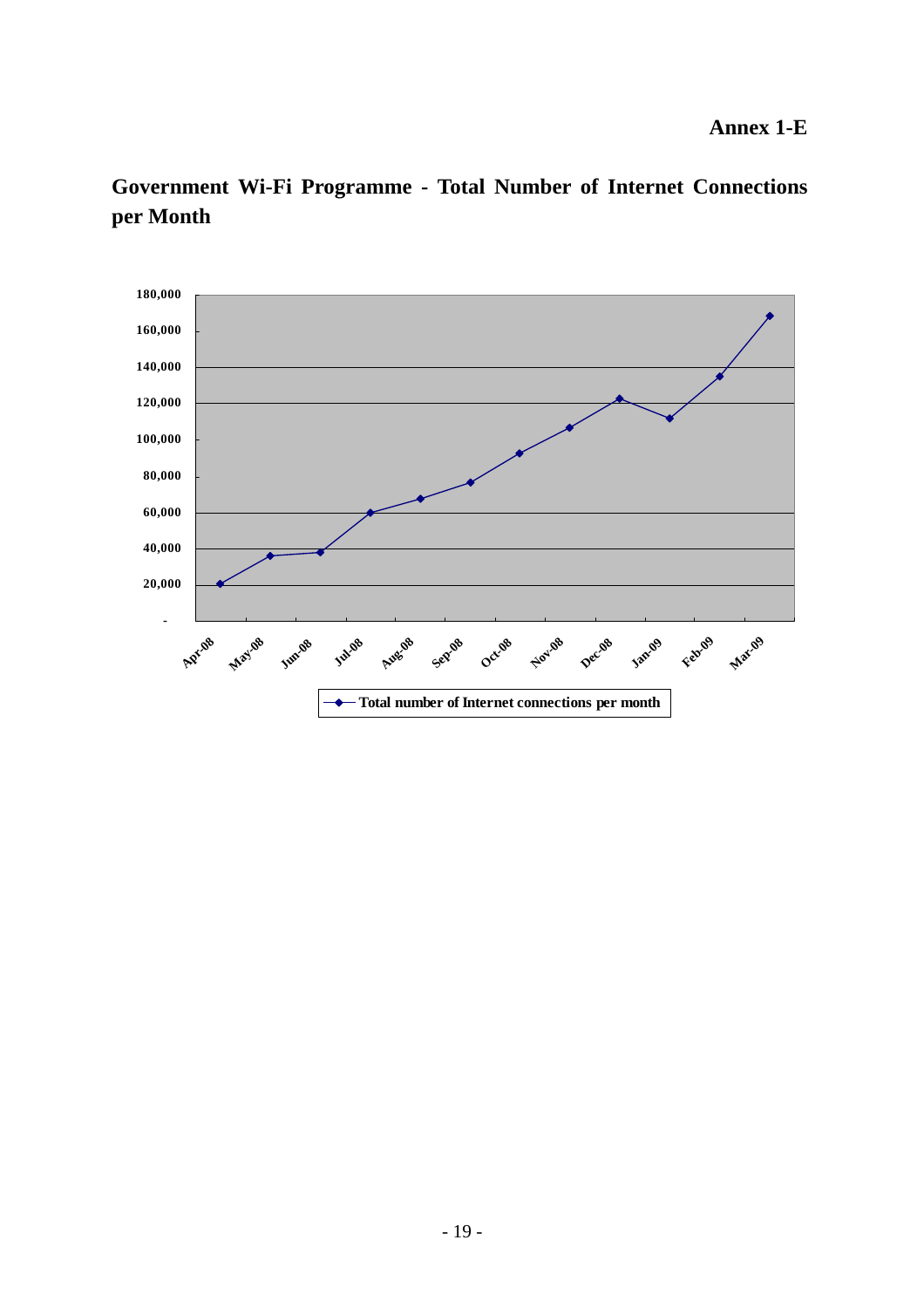

**Government Wi-Fi Programme - Total Number of Internet Connections per Month**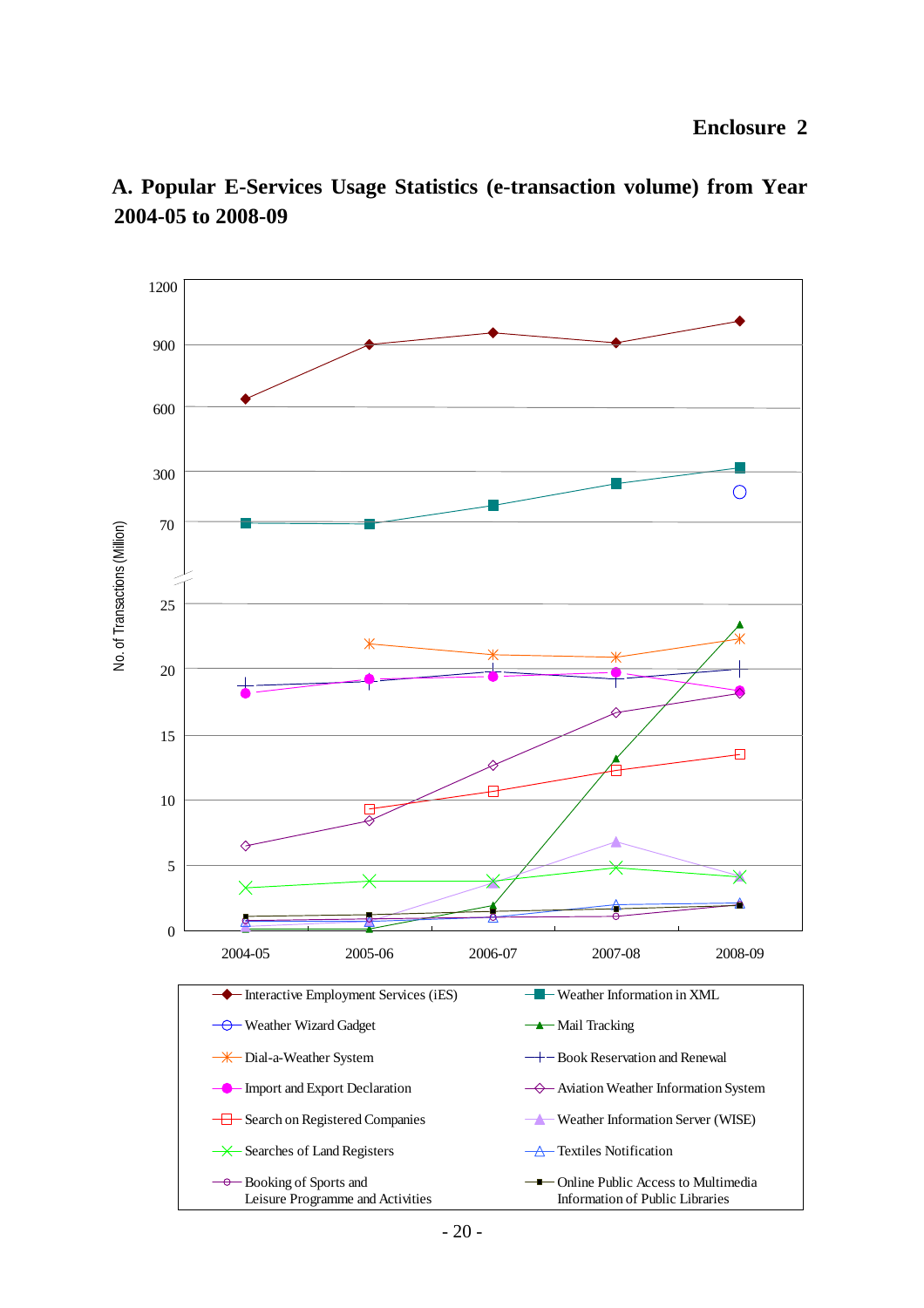

**200 4-05 to 2008-09 A. Popular E-Services Usage Statistics (e-transaction volume) from Year**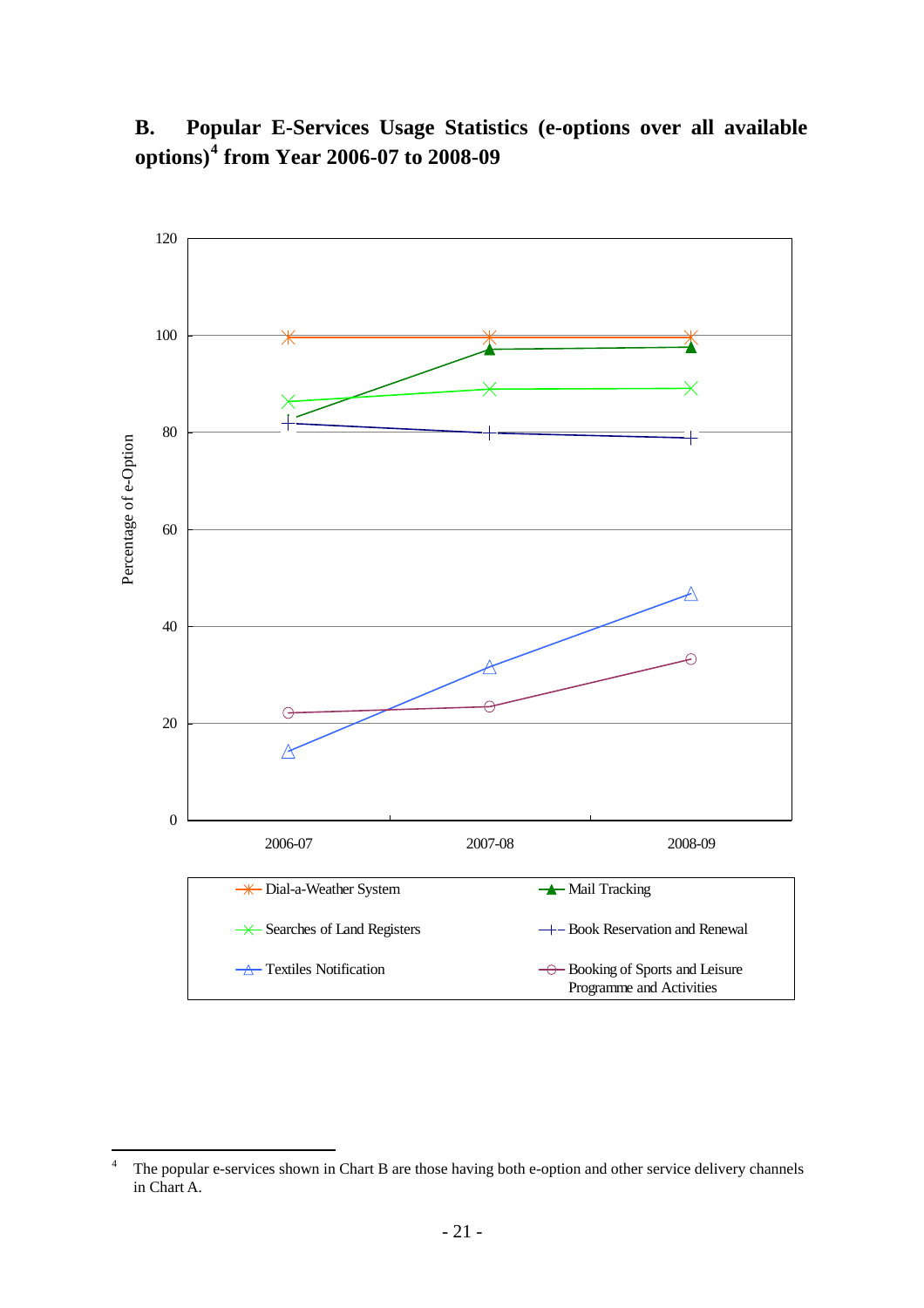# **B. Popular E-Services Usage Statistics (e-options over all available options)<sup>4</sup> from Year 2006-07 to 2008-09**

![](_page_20_Figure_1.jpeg)

 $\frac{1}{4}$  The popular e-services shown in Chart B are those having both e-option and other service delivery channels in Chart A.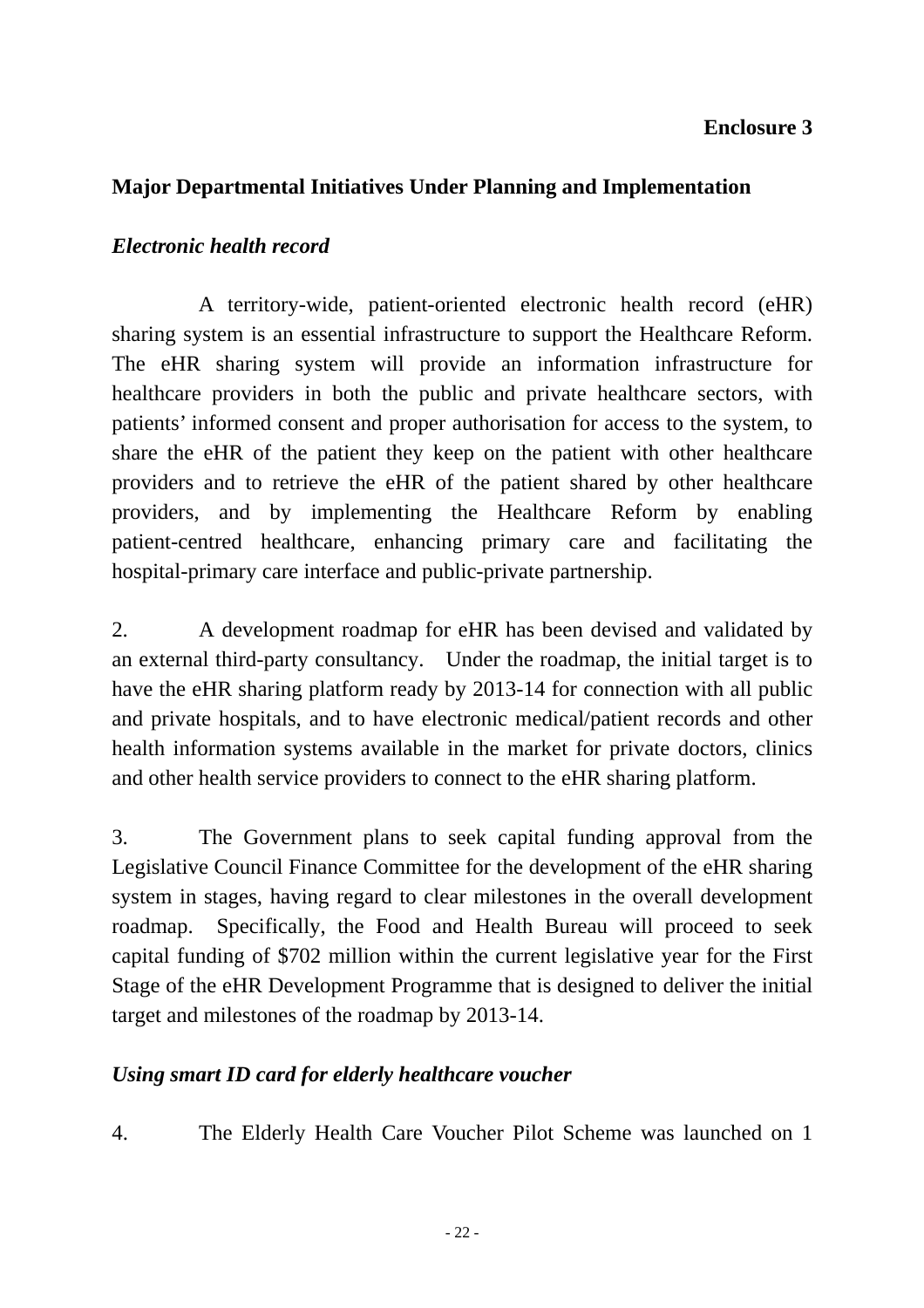#### **Enclosure 3**

#### **Major Departmental Initiatives Under Planning and Implementation**

#### *Electronic health record*

 A territory-wide, patient-oriented electronic health record (eHR) sharing system is an essential infrastructure to support the Healthcare Reform. The eHR sharing system will provide an information infrastructure for healthcare providers in both the public and private healthcare sectors, with patients' informed consent and proper authorisation for access to the system, to share the eHR of the patient they keep on the patient with other healthcare providers and to retrieve the eHR of the patient shared by other healthcare providers, and by implementing the Healthcare Reform by enabling patient-centred healthcare, enhancing primary care and facilitating the hospital-primary care interface and public-private partnership.

2. A development roadmap for eHR has been devised and validated by an external third-party consultancy. Under the roadmap, the initial target is to have the eHR sharing platform ready by 2013-14 for connection with all public and private hospitals, and to have electronic medical/patient records and other health information systems available in the market for private doctors, clinics and other health service providers to connect to the eHR sharing platform.

3. The Government plans to seek capital funding approval from the Legislative Council Finance Committee for the development of the eHR sharing system in stages, having regard to clear milestones in the overall development roadmap. Specifically, the Food and Health Bureau will proceed to seek capital funding of \$702 million within the current legislative year for the First Stage of the eHR Development Programme that is designed to deliver the initial target and milestones of the roadmap by 2013-14.

#### Using smart ID card for elderly healthcare voucher

4. The Elderly Health Care Voucher Pilot Scheme was launched on 1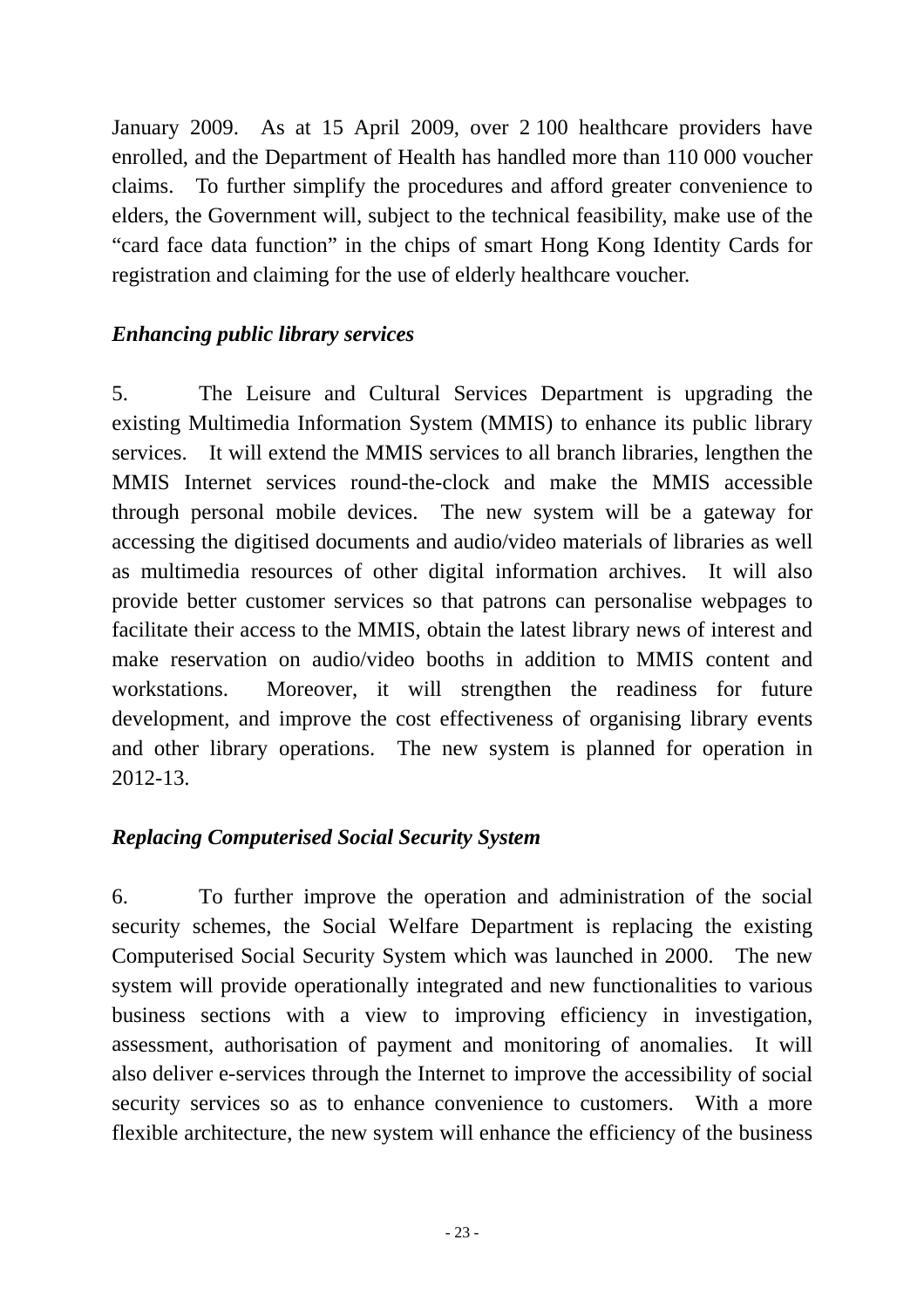January 2009. As at 15 April 2009, over 2 100 healthcare providers have enrolled, and the Department of Health has handled more than 110 000 voucher claims. To further simplify the procedures and afford greater convenience to elders, the Government will, subject to the technical feasibility, make use of the "card face data function" in the chips of smart Hong Kong Identity Cards for registration and claiming for the use of elderly healthcare voucher.

#### *Enhancing public library services*

as multimedia resources of other digital information archives. It will also provide better customer services so that patrons can personalise webpages to 5. The Leisure and Cultural Services Department is upgrading the existing Multimedia Information System (MMIS) to enhance its public library services. It will extend the MMIS services to all branch libraries, lengthen the MMIS Internet services round-the-clock and make the MMIS accessible through personal mobile devices. The new system will be a gateway for accessing the digitised documents and audio/video materials of libraries as well facilitate their access to the MMIS, obtain the latest library news of interest and make reservation on audio/video booths in addition to MMIS content and workstations. Moreover, it will strengthen the readiness for future development, and improve the cost effectiveness of organising library events and other library operations. The new system is planned for operation in 2012-13.

# *Replacing Computerised Social Security System*

business sections with a view to improving efficiency in investigation, assessment, authorisation of payment and monitoring of anomalies. It will also deliver e-services through the Internet to improve the accessibility of social security services so as to enhance convenience to customers. With a more 6. To further improve the operation and administration of the social security schemes, the Social Welfare Department is replacing the existing Computerised Social Security System which was launched in 2000. The new system will provide operationally integrated and new functionalities to various flexible architecture, the new system will enhance the efficiency of the business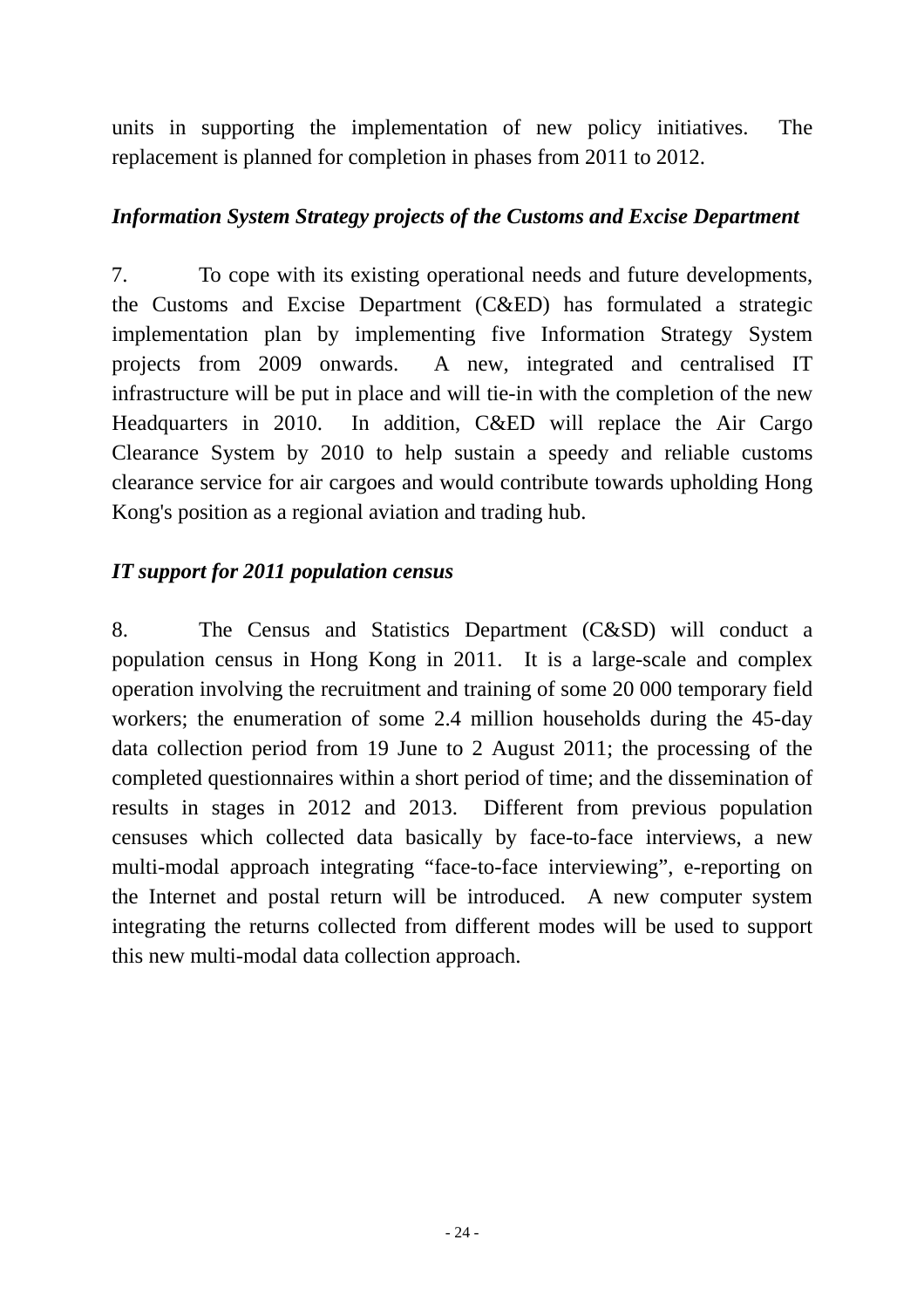units in supporting the implementation of new policy initiatives. The replacement is planned for completion in phases from 2011 to 2012.

#### *Information System Strategy projects of the Customs and Excise Department*

7. To cope with its existing operational needs and future developments, the Customs and Excise Department (C&ED) has formulated a strategic implementation plan by implementing five Information Strategy System projects from 2009 onwards. A new, integrated and centralised IT infrastructure will be put in place and will tie-in with the completion of the new Headquarters in 2010. In addition, C&ED will replace the Air Cargo Clearance System by 2010 to help sustain a speedy and reliable customs clearance service for air cargoes and would contribute towards upholding Hong Kong's position as a regional aviation and trading hub.

#### *IT support for 2011 population census*

completed questionnaires within a short period of time; and the dissemination of results in stages in 2012 and 2013. Different from previous population censuses which collected data basically by face-to-face interviews, a new multi-modal approach integrating "face-to-face interviewing", e-reporting on 8. The Census and Statistics Department (C&SD) will conduct a population census in Hong Kong in 2011. It is a large-scale and complex operation involving the recruitment and training of some 20 000 temporary field workers; the enumeration of some 2.4 million households during the 45-day data collection period from 19 June to 2 August 2011; the processing of the the Internet and postal return will be introduced. A new computer system integrating the returns collected from different modes will be used to support this new multi-modal data collection approach.